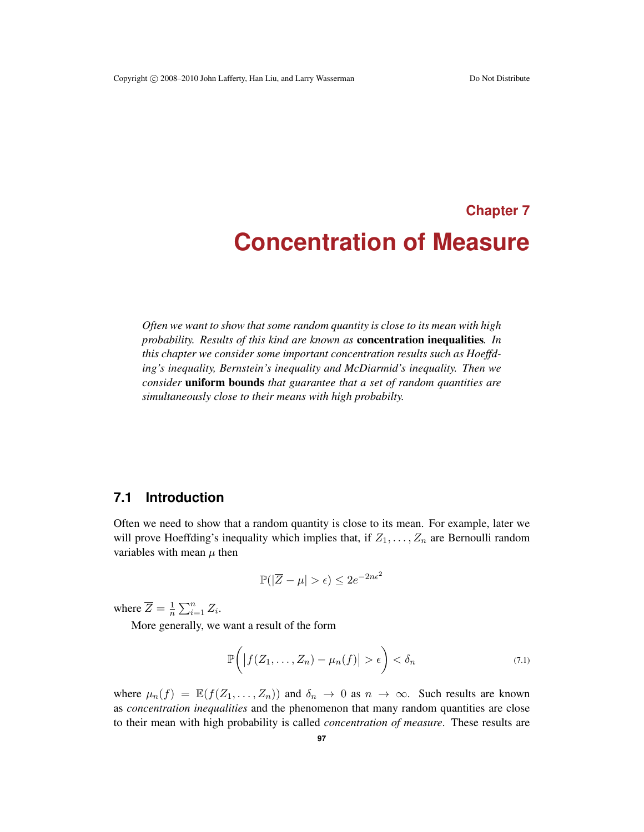# **Chapter 7 Concentration of Measure**

*Often we want to show that some random quantity is close to its mean with high probability. Results of this kind are known as* concentration inequalities*. In this chapter we consider some important concentration results such as Hoeffding's inequality, Bernstein's inequality and McDiarmid's inequality. Then we consider* uniform bounds *that guarantee that a set of random quantities are simultaneously close to their means with high probabilty.*

# **7.1 Introduction**

Often we need to show that a random quantity is close to its mean. For example, later we will prove Hoeffding's inequality which implies that, if  $Z_1, \ldots, Z_n$  are Bernoulli random variables with mean  $\mu$  then

$$
\mathbb{P}(|\overline{Z} - \mu| > \epsilon) \le 2e^{-2n\epsilon^2}
$$

where  $\overline{Z} = \frac{1}{n} \sum_{i=1}^{n} Z_i$ .

More generally, we want a result of the form

$$
\mathbb{P}\bigg(\big|f(Z_1,\ldots,Z_n)-\mu_n(f)\big|>\epsilon\bigg)<\delta_n\qquad(7.1)
$$

where  $\mu_n(f) = \mathbb{E}(f(Z_1, \ldots, Z_n))$  and  $\delta_n \to 0$  as  $n \to \infty$ . Such results are known as *concentration inequalities* and the phenomenon that many random quantities are close to their mean with high probability is called *concentration of measure*. These results are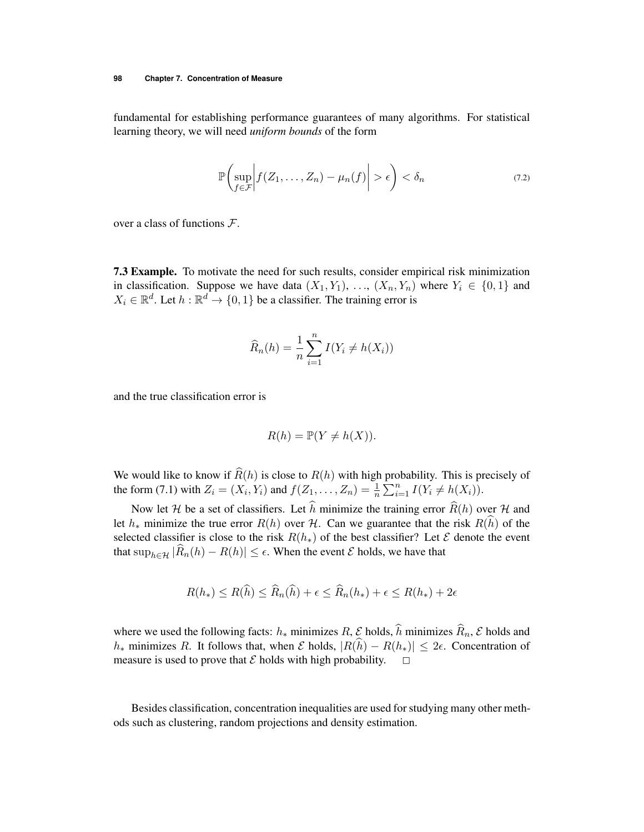fundamental for establishing performance guarantees of many algorithms. For statistical learning theory, we will need *uniform bounds* of the form

$$
\mathbb{P}\left(\sup_{f\in\mathcal{F}}\left|f(Z_1,\ldots,Z_n)-\mu_n(f)\right|>\epsilon\right)<\delta_n\tag{7.2}
$$

over a class of functions *F*.

7.3 Example. To motivate the need for such results, consider empirical risk minimization in classification. Suppose we have data  $(X_1, Y_1), \ldots, (X_n, Y_n)$  where  $Y_i \in \{0, 1\}$  and  $X_i \in \mathbb{R}^d$ . Let  $h : \mathbb{R}^d \to \{0, 1\}$  be a classifier. The training error is

$$
\widehat{R}_n(h) = \frac{1}{n} \sum_{i=1}^n I(Y_i \neq h(X_i))
$$

and the true classification error is

$$
R(h) = \mathbb{P}(Y \neq h(X)).
$$

We would like to know if  $\widehat{R}(h)$  is close to  $R(h)$  with high probability. This is precisely of the form (7.1) with  $Z_i = (X_i, Y_i)$  and  $f(Z_1, ..., Z_n) = \frac{1}{n} \sum_{i=1}^n I(Y_i \neq h(X_i))$ .

Now let *H* be a set of classifiers. Let *h* minimize the training error  $R(h)$  over *H* and let  $h_*$  minimize the true error  $R(h)$  over  $H$ . Can we guarantee that the risk  $R(h)$  of the selected classifier is close to the risk  $R(h_*)$  of the best classifier? Let  $\mathcal E$  denote the event that  $\sup_{h \in \mathcal{H}} |R_n(h) - R(h)| \leq \epsilon$ . When the event  $\mathcal E$  holds, we have that

$$
R(h_*) \le R(\hat{h}) \le \widehat{R}_n(\hat{h}) + \epsilon \le \widehat{R}_n(h_*) + \epsilon \le R(h_*) + 2\epsilon
$$

where we used the following facts:  $h_*$  minimizes  $R$ ,  $\mathcal{E}$  holds,  $h$  minimizes  $R_n$ ,  $\mathcal{E}$  holds and *h*<sup> $*$ </sup> minimizes *R*. It follows that, when *E* holds,  $|R(h) - R(h_*)| \leq 2\epsilon$ . Concentration of measure is used to prove that  $\mathcal E$  holds with high probability.  $\square$ 

Besides classification, concentration inequalities are used for studying many other methods such as clustering, random projections and density estimation.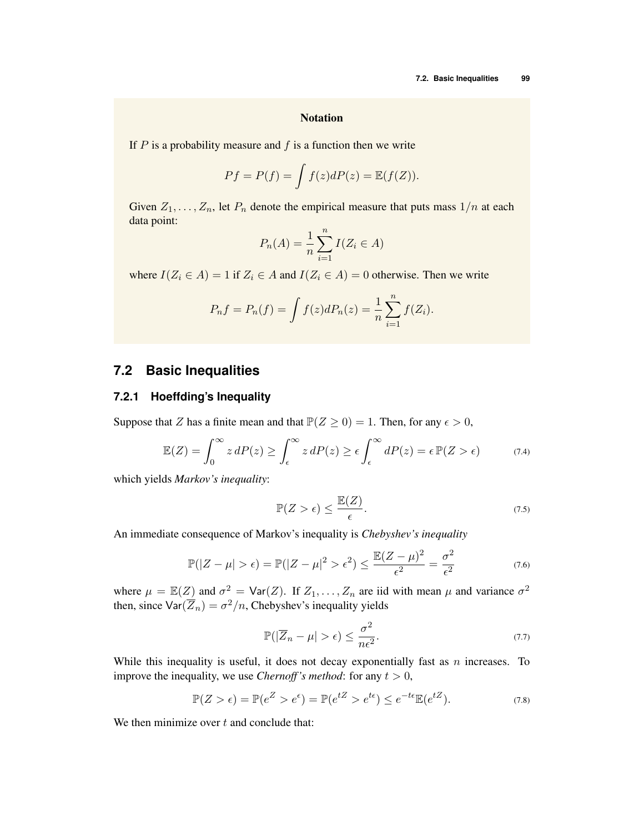#### **Notation**

If *P* is a probability measure and *f* is a function then we write

$$
Pf = P(f) = \int f(z)dP(z) = \mathbb{E}(f(Z)).
$$

Given  $Z_1, \ldots, Z_n$ , let  $P_n$  denote the empirical measure that puts mass  $1/n$  at each data point:

$$
P_n(A) = \frac{1}{n} \sum_{i=1}^n I(Z_i \in A)
$$

where  $I(Z_i \in A) = 1$  if  $Z_i \in A$  and  $I(Z_i \in A) = 0$  otherwise. Then we write

$$
P_n f = P_n(f) = \int f(z) dP_n(z) = \frac{1}{n} \sum_{i=1}^n f(Z_i).
$$

## **7.2 Basic Inequalities**

#### **7.2.1 Hoeffding's Inequality**

Suppose that *Z* has a finite mean and that  $\mathbb{P}(Z \ge 0) = 1$ . Then, for any  $\epsilon > 0$ ,

$$
\mathbb{E}(Z) = \int_0^\infty z \, dP(z) \ge \int_\epsilon^\infty z \, dP(z) \ge \epsilon \int_\epsilon^\infty dP(z) = \epsilon \, \mathbb{P}(Z > \epsilon) \tag{7.4}
$$

which yields *Markov's inequality*:

$$
\mathbb{P}(Z > \epsilon) \le \frac{\mathbb{E}(Z)}{\epsilon}.
$$
\n(7.5)

An immediate consequence of Markov's inequality is *Chebyshev's inequality*

$$
\mathbb{P}(|Z - \mu| > \epsilon) = \mathbb{P}(|Z - \mu|^2 > \epsilon^2) \le \frac{\mathbb{E}(Z - \mu)^2}{\epsilon^2} = \frac{\sigma^2}{\epsilon^2}
$$
(7.6)

where  $\mu = \mathbb{E}(Z)$  and  $\sigma^2 = \text{Var}(Z)$ . If  $Z_1, \ldots, Z_n$  are iid with mean  $\mu$  and variance  $\sigma^2$ then, since  $\text{Var}(\overline{Z}_n) = \sigma^2/n$ , Chebyshev's inequality yields

$$
\mathbb{P}(|\overline{Z}_n - \mu| > \epsilon) \le \frac{\sigma^2}{n\epsilon^2}.
$$
\n(7.7)

While this inequality is useful, it does not decay exponentially fast as *n* increases. To improve the inequality, we use *Chernoff's method*: for any  $t > 0$ ,

$$
\mathbb{P}(Z > \epsilon) = \mathbb{P}(e^Z > e^{\epsilon}) = \mathbb{P}(e^{tZ} > e^{t\epsilon}) \le e^{-t\epsilon} \mathbb{E}(e^{tZ}).
$$
\n(7.8)

We then minimize over *t* and conclude that: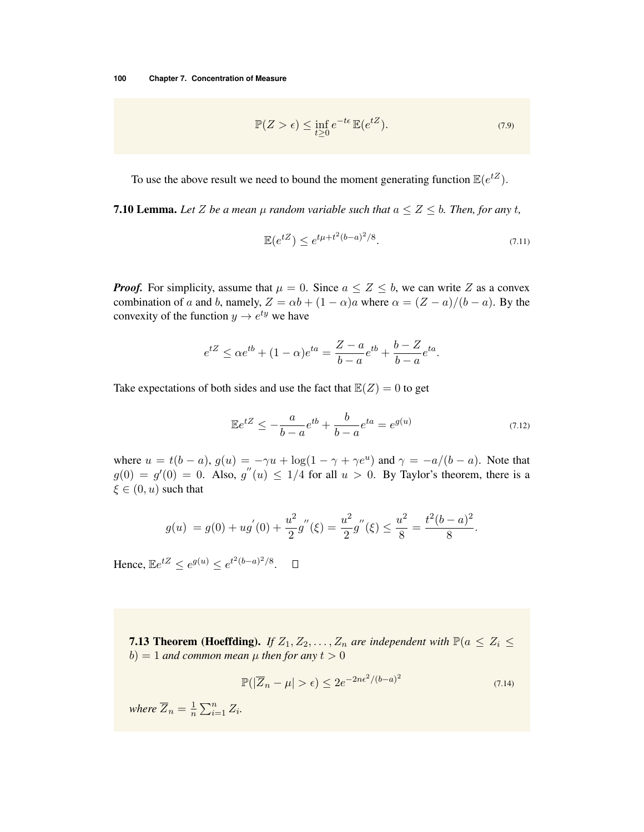$$
\mathbb{P}(Z > \epsilon) \le \inf_{t \ge 0} e^{-t\epsilon} \mathbb{E}(e^{tZ}).\tag{7.9}
$$

To use the above result we need to bound the moment generating function  $\mathbb{E}(e^{tZ})$ .

**7.10 Lemma.** Let *Z* be a mean  $\mu$  random variable such that  $a \leq Z \leq b$ . Then, for any t,

$$
\mathbb{E}(e^{tZ}) \le e^{t\mu + t^2(b-a)^2/8}.\tag{7.11}
$$

*Proof.* For simplicity, assume that  $\mu = 0$ . Since  $a \le Z \le b$ , we can write Z as a convex combination of *a* and *b*, namely,  $Z = \alpha b + (1 - \alpha)a$  where  $\alpha = (Z - a)/(b - a)$ . By the convexity of the function  $y \rightarrow e^{ty}$  we have

$$
e^{tZ} \leq \alpha e^{tb} + (1 - \alpha)e^{ta} = \frac{Z - a}{b - a}e^{tb} + \frac{b - Z}{b - a}e^{ta}.
$$

Take expectations of both sides and use the fact that  $\mathbb{E}(Z)=0$  to get

$$
\mathbb{E}e^{tZ} \le -\frac{a}{b-a}e^{tb} + \frac{b}{b-a}e^{ta} = e^{g(u)} \tag{7.12}
$$

where  $u = t(b - a)$ ,  $g(u) = -\gamma u + \log(1 - \gamma + \gamma e^u)$  and  $\gamma = -a/(b - a)$ . Note that  $g(0) = g'(0) = 0$ . Also,  $g''(u) \le 1/4$  for all  $u > 0$ . By Taylor's theorem, there is a  $\xi \in (0, u)$  such that

$$
g(u) = g(0) + ug'(0) + \frac{u^2}{2}g''(\xi) = \frac{u^2}{2}g''(\xi) \le \frac{u^2}{8} = \frac{t^2(b-a)^2}{8}.
$$

Hence,  $\mathbb{E}e^{tZ} \le e^{g(u)} \le e^{t^2(b-a)^2/8}$ .  $\Box$ 

**7.13 Theorem (Hoeffding).** *If*  $Z_1, Z_2, \ldots, Z_n$  *are independent with*  $\mathbb{P}(a \leq Z_i \leq Z_i)$  $b) = 1$  *and common mean*  $\mu$  *then for any*  $t > 0$ 

$$
\mathbb{P}(|\overline{Z}_n - \mu| > \epsilon) \le 2e^{-2n\epsilon^2/(b-a)^2}
$$
\n(7.14)

*where*  $\overline{Z}_n = \frac{1}{n} \sum_{i=1}^n Z_i$ *.*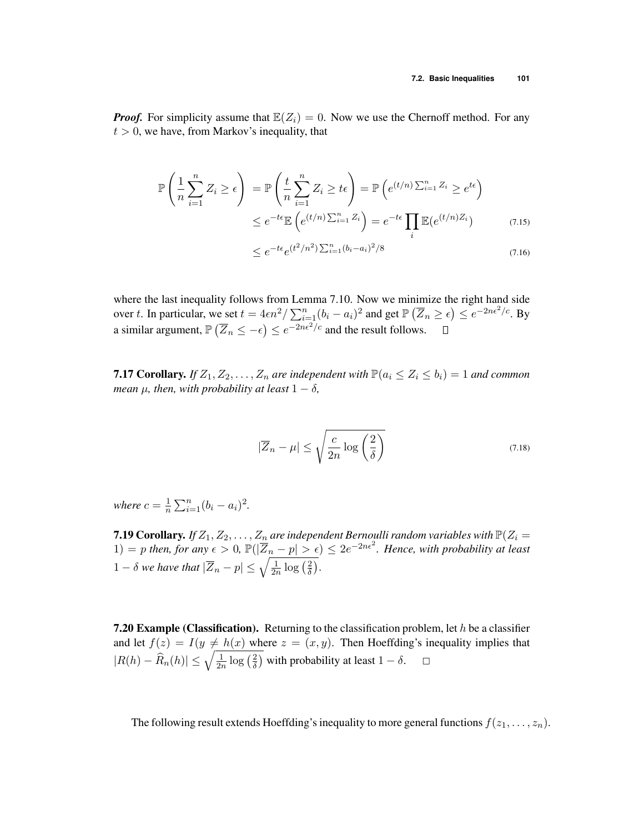*Proof.* For simplicity assume that  $\mathbb{E}(Z_i)=0$ . Now we use the Chernoff method. For any  $t > 0$ , we have, from Markov's inequality, that

$$
\mathbb{P}\left(\frac{1}{n}\sum_{i=1}^{n}Z_i\geq\epsilon\right) = \mathbb{P}\left(\frac{t}{n}\sum_{i=1}^{n}Z_i\geq t\epsilon\right) = \mathbb{P}\left(e^{(t/n)\sum_{i=1}^{n}Z_i}\geq e^{t\epsilon}\right)
$$

$$
\leq e^{-t\epsilon}\mathbb{E}\left(e^{(t/n)\sum_{i=1}^{n}Z_i}\right) = e^{-t\epsilon}\prod_{i}\mathbb{E}(e^{(t/n)Z_i})\tag{7.15}
$$

$$
\leq e^{-t\epsilon} e^{(t^2/n^2)\sum_{i=1}^n (b_i - a_i)^2/8} \tag{7.16}
$$

where the last inequality follows from Lemma 7.10. Now we minimize the right hand side over *t*. In particular, we set  $t = 4\epsilon n^2 / \sum_{i=1}^n (b_i - a_i)^2$  and get  $\mathbb{P}(\overline{Z}_n \ge \epsilon) \le e^{-2n\epsilon^2/c}$ . By a similar argument,  $\mathbb{P}\left(\overline{Z}_n \le -\epsilon\right) \le e^{-2n\epsilon^2/c}$  and the result follows.

**7.17 Corollary.** If  $Z_1, Z_2, \ldots, Z_n$  are independent with  $\mathbb{P}(a_i \leq Z_i \leq b_i) = 1$  and common *mean*  $\mu$ *, then, with probability at least*  $1 - \delta$ *,* 

$$
|\overline{Z}_n - \mu| \le \sqrt{\frac{c}{2n} \log\left(\frac{2}{\delta}\right)}\tag{7.18}
$$

*where*  $c = \frac{1}{n} \sum_{i=1}^{n} (b_i - a_i)^2$ .

**7.19 Corollary.** If  $Z_1, Z_2, \ldots, Z_n$  are independent Bernoulli random variables with  $\mathbb{P}(Z_i =$  $1) = p$  *then, for any*  $\epsilon > 0$ ,  $\mathbb{P}(|\overline{Z}_n - p| > \epsilon) \leq 2e^{-2n\epsilon^2}$ . Hence, with probability at least  $1 - \delta$  we have that  $|\overline{Z}_n - p| \le \sqrt{\frac{1}{2n} \log\left(\frac{2}{\delta}\right)}$ .

7.20 Example (Classification). Returning to the classification problem, let *h* be a classifier and let  $f(z) = I(y \neq h(x)$  where  $z = (x, y)$ . Then Hoeffding's inequality implies that  $|R(h) - \hat{R}_n(h)| \leq \sqrt{\frac{1}{2n} \log(\frac{2}{\delta})}$  with probability at least  $1 - \delta$ .

The following result extends Hoeffding's inequality to more general functions  $f(z_1, \ldots, z_n)$ .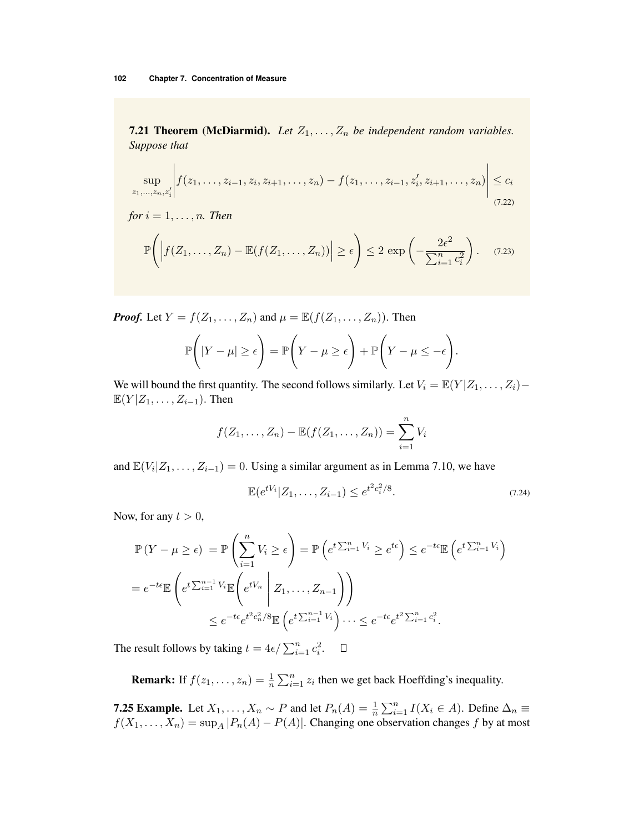**7.21 Theorem (McDiarmid).** Let  $Z_1, \ldots, Z_n$  be independent random variables. *Suppose that*

$$
\sup_{z_1,\ldots,z_n,z'_i} \left| f(z_1,\ldots,z_{i-1},z_i,z_{i+1},\ldots,z_n) - f(z_1,\ldots,z_{i-1},z'_i,z_{i+1},\ldots,z_n) \right| \leq c_i
$$
\n(7.22)

for 
$$
i = 1, ..., n
$$
. Then  
\n
$$
\mathbb{P}\left(\left|f(Z_1, ..., Z_n) - \mathbb{E}(f(Z_1, ..., Z_n))\right| \ge \epsilon\right) \le 2 \exp\left(-\frac{2\epsilon^2}{\sum_{i=1}^n c_i^2}\right). \quad (7.23)
$$

*Proof.* Let  $Y = f(Z_1, \ldots, Z_n)$  and  $\mu = \mathbb{E}(f(Z_1, \ldots, Z_n))$ . Then

$$
\mathbb{P}\bigg(|Y-\mu| \geq \epsilon\bigg) = \mathbb{P}\bigg(Y-\mu \geq \epsilon\bigg) + \mathbb{P}\bigg(Y-\mu \leq -\epsilon\bigg).
$$

We will bound the first quantity. The second follows similarly. Let  $V_i = \mathbb{E}(Y|Z_1,\ldots,Z_i)$  $\mathbb{E}(Y|Z_1,\ldots,Z_{i-1})$ . Then

$$
f(Z_1,\ldots,Z_n)-\mathbb{E}(f(Z_1,\ldots,Z_n))=\sum_{i=1}^n V_i
$$

and  $\mathbb{E}(V_i|Z_1,\ldots,Z_{i-1})=0$ . Using a similar argument as in Lemma 7.10, we have

$$
\mathbb{E}(e^{tV_i}|Z_1,\ldots,Z_{i-1}) \leq e^{t^2c_i^2/8}.
$$
\n(7.24)

Now, for any  $t > 0$ ,

$$
\mathbb{P}(Y - \mu \ge \epsilon) = \mathbb{P}\left(\sum_{i=1}^{n} V_i \ge \epsilon\right) = \mathbb{P}\left(e^{t\sum_{i=1}^{n} V_i} \ge e^{t\epsilon}\right) \le e^{-t\epsilon} \mathbb{E}\left(e^{t\sum_{i=1}^{n} V_i}\right)
$$

$$
= e^{-t\epsilon} \mathbb{E}\left(e^{t\sum_{i=1}^{n-1} V_i} \mathbb{E}\left(e^{tV_n} \mid Z_1, \dots, Z_{n-1}\right)\right)
$$

$$
\le e^{-t\epsilon} e^{t^2 c_n^2 / 8} \mathbb{E}\left(e^{t\sum_{i=1}^{n-1} V_i}\right) \dots \le e^{-t\epsilon} e^{t^2 \sum_{i=1}^{n} c_i^2}.
$$

The result follows by taking  $t = 4\epsilon / \sum_{i=1}^{n} c_i^2$ .

**Remark:** If  $f(z_1, \ldots, z_n) = \frac{1}{n} \sum_{i=1}^n z_i$  then we get back Hoeffding's inequality.

**7.25 Example.** Let  $X_1, \ldots, X_n \sim P$  and let  $P_n(A) = \frac{1}{n} \sum_{i=1}^n I(X_i \in A)$ . Define  $\Delta_n \equiv$  $f(X_1, \ldots, X_n) = \sup_A |P_n(A) - P(A)|$ . Changing one observation changes *f* by at most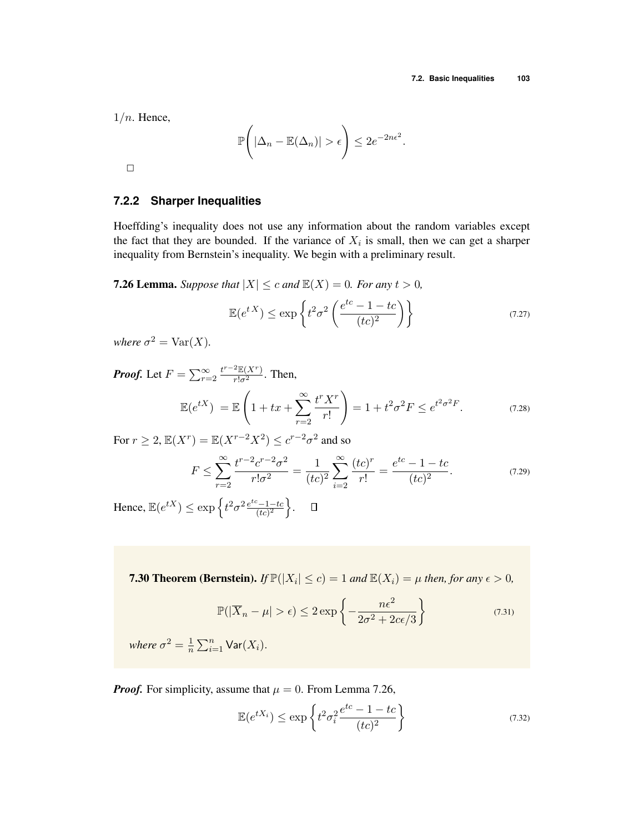1*/n*. Hence,

$$
\mathbb{P}\left(|\Delta_n - \mathbb{E}(\Delta_n)| > \epsilon\right) \le 2e^{-2n\epsilon^2}.
$$

 $\Box$ 

## **7.2.2 Sharper Inequalities**

Hoeffding's inequality does not use any information about the random variables except the fact that they are bounded. If the variance of  $X_i$  is small, then we can get a sharper inequality from Bernstein's inequality. We begin with a preliminary result.

**7.26 Lemma.** *Suppose that*  $|X| \leq c$  *and*  $\mathbb{E}(X) = 0$ *. For any*  $t > 0$ *,* 

$$
\mathbb{E}(e^{tX}) \le \exp\left\{t^2\sigma^2\left(\frac{e^{tc} - 1 - tc}{(tc)^2}\right)\right\} \tag{7.27}
$$

*where*  $\sigma^2 = \text{Var}(X)$ *.* 

*Proof.* Let  $F = \sum_{r=2}^{\infty} \frac{t^{r-2} \mathbb{E}(X^r)}{r! \sigma^2}$ . Then,

$$
\mathbb{E}(e^{tX}) = \mathbb{E}\left(1 + tx + \sum_{r=2}^{\infty} \frac{t^r X^r}{r!}\right) = 1 + t^2 \sigma^2 F \le e^{t^2 \sigma^2 F}.
$$
 (7.28)

For  $r \geq 2$ ,  $\mathbb{E}(X^r) = \mathbb{E}(X^{r-2}X^2) \leq c^{r-2}\sigma^2$  and so

$$
F \le \sum_{r=2}^{\infty} \frac{t^{r-2} c^{r-2} \sigma^2}{r! \sigma^2} = \frac{1}{(tc)^2} \sum_{i=2}^{\infty} \frac{(tc)^r}{r!} = \frac{e^{tc} - 1 - tc}{(tc)^2}.
$$
 (7.29)

Hence,  $\mathbb{E}(e^{tX}) \le \exp\left\{t^2\sigma^2 \frac{e^{tc} - 1 - tc}{(tc)^2}\right\}$  $\big\}$ .

**7.30 Theorem (Bernstein).** *If*  $\mathbb{P}(|X_i| \le c) = 1$  *and*  $\mathbb{E}(X_i) = \mu$  *then, for any*  $\epsilon > 0$ *,* 

$$
\mathbb{P}(|\overline{X}_n - \mu| > \epsilon) \le 2 \exp\left\{-\frac{n\epsilon^2}{2\sigma^2 + 2c\epsilon/3}\right\} \tag{7.31}
$$

*where*  $\sigma^2 = \frac{1}{n} \sum_{i=1}^n \text{Var}(X_i)$ *.* 

*Proof.* For simplicity, assume that  $\mu = 0$ . From Lemma 7.26,

$$
\mathbb{E}(e^{tX_i}) \le \exp\left\{t^2 \sigma_i^2 \frac{e^{tc} - 1 - tc}{(tc)^2}\right\} \tag{7.32}
$$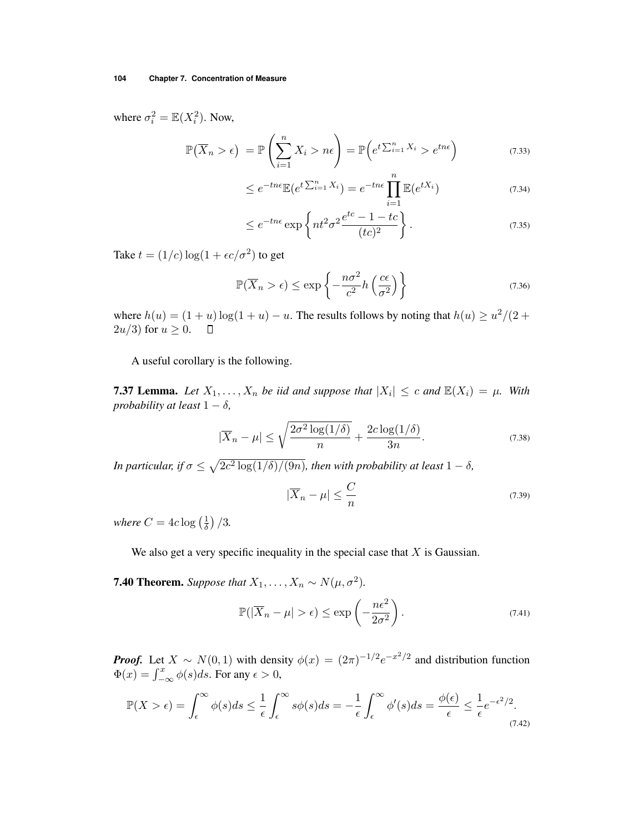where  $\sigma_i^2 = \mathbb{E}(X_i^2)$ . Now,

$$
\mathbb{P}(\overline{X}_n > \epsilon) = \mathbb{P}\left(\sum_{i=1}^n X_i > n\epsilon\right) = \mathbb{P}\left(e^{t\sum_{i=1}^n X_i} > e^{tn\epsilon}\right)
$$
(7.33)

$$
\leq e^{-tn\epsilon} \mathbb{E}(e^{t\sum_{i=1}^{n} X_i}) = e^{-tn\epsilon} \prod_{i=1}^{n} \mathbb{E}(e^{tX_i})
$$
\n(7.34)

$$
\leq e^{-tn\epsilon} \exp\left\{ nt^2 \sigma^2 \frac{e^{tc} - 1 - tc}{(tc)^2} \right\}.
$$
\n(7.35)

Take  $t = (1/c) \log(1 + \epsilon c/\sigma^2)$  to get

$$
\mathbb{P}(\overline{X}_n > \epsilon) \le \exp\left\{-\frac{n\sigma^2}{c^2}h\left(\frac{c\epsilon}{\sigma^2}\right)\right\} \tag{7.36}
$$

where  $h(u) = (1 + u) \log(1 + u) - u$ . The results follows by noting that  $h(u) \ge u^2/(2 + 2u/3)$  for  $u \ge 0$ .  $\Box$  $2u/3$  for  $u \geq 0$ .

A useful corollary is the following.

**7.37 Lemma.** Let  $X_1, \ldots, X_n$  be iid and suppose that  $|X_i| \leq c$  and  $\mathbb{E}(X_i) = \mu$ . With *probability at least*  $1 - \delta$ ,

$$
|\overline{X}_n - \mu| \le \sqrt{\frac{2\sigma^2 \log(1/\delta)}{n}} + \frac{2c \log(1/\delta)}{3n}.
$$
\n(7.38)

*In particular, if*  $\sigma \leq \sqrt{2c^2 \log(1/\delta)/(9n)}$ *, then with probability at least*  $1 - \delta$ *,* 

$$
|\overline{X}_n - \mu| \le \frac{C}{n} \tag{7.39}
$$

where  $C = 4c \log \left(\frac{1}{\delta}\right)/3$ .

We also get a very specific inequality in the special case that *X* is Gaussian.

**7.40 Theorem.** *Suppose that*  $X_1, \ldots, X_n \sim N(\mu, \sigma^2)$ *.* 

$$
\mathbb{P}(|\overline{X}_n - \mu| > \epsilon) \le \exp\left(-\frac{n\epsilon^2}{2\sigma^2}\right). \tag{7.41}
$$

*Proof.* Let  $X \sim N(0, 1)$  with density  $\phi(x) = (2\pi)^{-1/2} e^{-x^2/2}$  and distribution function  $\Phi(x) = \int_{-\infty}^{x} \phi(s) ds$ . For any  $\epsilon > 0$ ,

$$
\mathbb{P}(X > \epsilon) = \int_{\epsilon}^{\infty} \phi(s)ds \le \frac{1}{\epsilon} \int_{\epsilon}^{\infty} s\phi(s)ds = -\frac{1}{\epsilon} \int_{\epsilon}^{\infty} \phi'(s)ds = \frac{\phi(\epsilon)}{\epsilon} \le \frac{1}{\epsilon} e^{-\epsilon^2/2}.
$$
\n(7.42)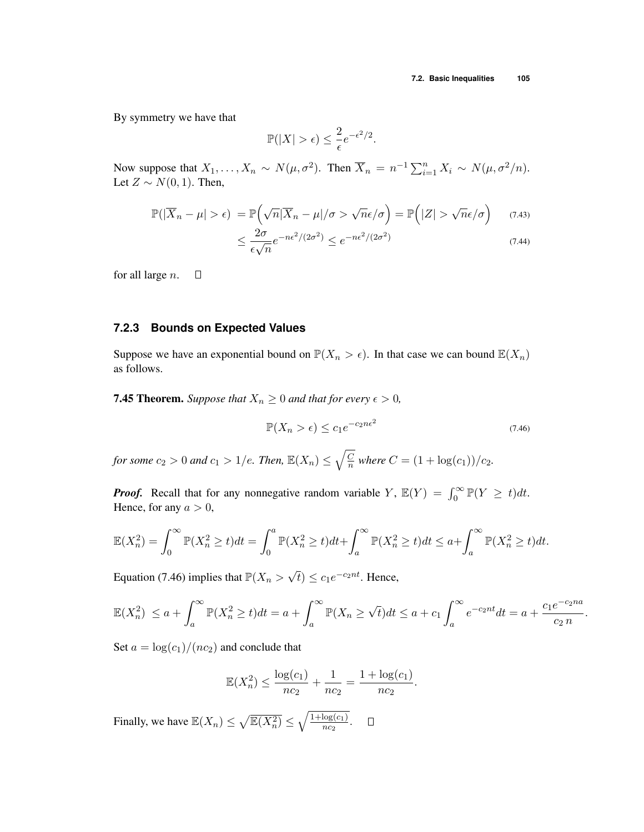By symmetry we have that

$$
\mathbb{P}(|X| > \epsilon) \le \frac{2}{\epsilon} e^{-\epsilon^2/2}.
$$

Now suppose that  $X_1, \ldots, X_n \sim N(\mu, \sigma^2)$ . Then  $\overline{X}_n = n^{-1} \sum_{i=1}^n X_i \sim N(\mu, \sigma^2/n)$ . Let  $Z \sim N(0, 1)$ . Then,

$$
\mathbb{P}(|\overline{X}_n - \mu| > \epsilon) = \mathbb{P}\left(\sqrt{n}|\overline{X}_n - \mu|/\sigma > \sqrt{n}\epsilon/\sigma\right) = \mathbb{P}\left(|Z| > \sqrt{n}\epsilon/\sigma\right) \tag{7.43}
$$

$$
\leq \frac{2\sigma}{\epsilon\sqrt{n}}e^{-n\epsilon^2/(2\sigma^2)} \leq e^{-n\epsilon^2/(2\sigma^2)} \tag{7.44}
$$

for all large *n*.

### **7.2.3 Bounds on Expected Values**

 $\Box$ 

Suppose we have an exponential bound on  $\mathbb{P}(X_n > \epsilon)$ . In that case we can bound  $\mathbb{E}(X_n)$ as follows.

**7.45 Theorem.** *Suppose that*  $X_n \geq 0$  *and that for every*  $\epsilon > 0$ *,* 

$$
\mathbb{P}(X_n > \epsilon) \le c_1 e^{-c_2 n \epsilon^2} \tag{7.46}
$$

*for some*  $c_2 > 0$  *and*  $c_1 > 1/e$ *. Then,*  $\mathbb{E}(X_n) \leq \sqrt{\frac{C}{n}}$  *where*  $C = (1 + \log(c_1))/c_2$ *.* 

*Proof.* Recall that for any nonnegative random variable *Y*,  $\mathbb{E}(Y) = \int_0^\infty \mathbb{P}(Y \ge t) dt$ . Hence, for any  $a > 0$ ,

$$
\mathbb{E}(X_n^2) = \int_0^\infty \mathbb{P}(X_n^2 \ge t)dt = \int_0^a \mathbb{P}(X_n^2 \ge t)dt + \int_a^\infty \mathbb{P}(X_n^2 \ge t)dt \le a + \int_a^\infty \mathbb{P}(X_n^2 \ge t)dt.
$$

Equation (7.46) implies that  $\mathbb{P}(X_n > \sqrt{t}) \leq c_1 e^{-c_2 nt}$ . Hence,

$$
\mathbb{E}(X_n^2) \le a + \int_a^{\infty} \mathbb{P}(X_n^2 \ge t)dt = a + \int_a^{\infty} \mathbb{P}(X_n \ge \sqrt{t})dt \le a + c_1 \int_a^{\infty} e^{-c_2nt}dt = a + \frac{c_1 e^{-c_2 n a}}{c_2 n}.
$$

Set  $a = \log(c_1)/(nc_2)$  and conclude that

$$
\mathbb{E}(X_n^2) \le \frac{\log(c_1)}{nc_2} + \frac{1}{nc_2} = \frac{1 + \log(c_1)}{nc_2}.
$$

Finally, we have  $\mathbb{E}(X_n) \le \sqrt{\mathbb{E}(X_n^2)} \le \sqrt{\frac{1 + \log(c_1)}{nc_2}}$ .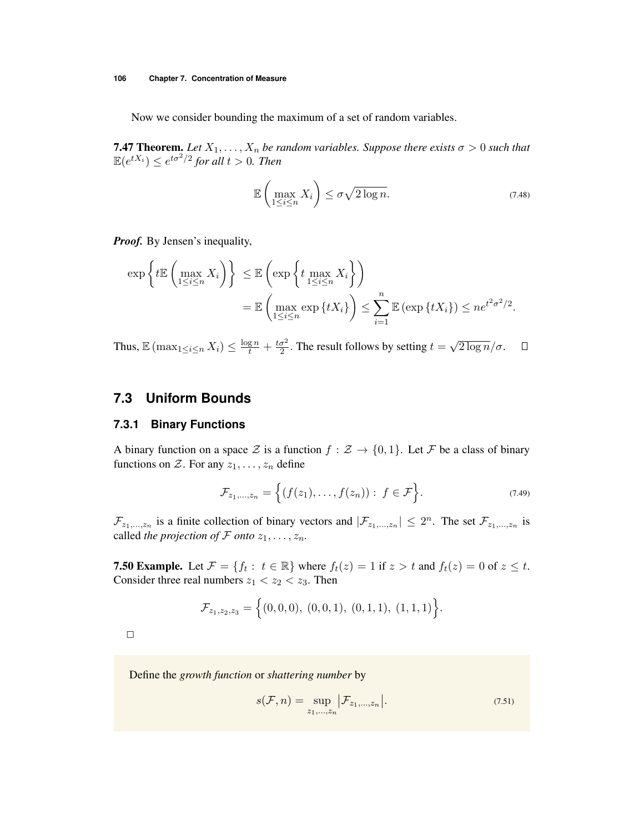Now we consider bounding the maximum of a set of random variables.

**7.47 Theorem.** Let  $X_1, \ldots, X_n$  be random variables. Suppose there exists  $\sigma > 0$  such that  $\mathbb{E}(e^{tX_i}) \leq e^{t\sigma^2/2}$  for all  $t > 0$ . Then

$$
\mathbb{E}\left(\max_{1\leq i\leq n}X_i\right)\leq \sigma\sqrt{2\log n}.\tag{7.48}
$$

*Proof.* By Jensen's inequality,

$$
\exp\left\{t\mathbb{E}\left(\max_{1\leq i\leq n}X_i\right)\right\} \leq \mathbb{E}\left(\exp\left\{t\max_{1\leq i\leq n}X_i\right\}\right)
$$

$$
=\mathbb{E}\left(\max_{1\leq i\leq n}\exp\left\{tX_i\right\}\right) \leq \sum_{i=1}^n\mathbb{E}\left(\exp\left\{tX_i\right\}\right) \leq ne^{t^2\sigma^2/2}.
$$

Thus,  $\mathbb{E} (\max_{1 \le i \le n} X_i) \le \frac{\log n}{t} + \frac{t\sigma^2}{2}$ . The result follows by setting  $t = \sqrt{2 \log n}/\sigma$ .  $\Box$ 

## **7.3 Uniform Bounds**

#### **7.3.1 Binary Functions**

A binary function on a space  $\mathcal Z$  is a function  $f : \mathcal Z \to \{0,1\}$ . Let  $\mathcal F$  be a class of binary functions on  $Z$ . For any  $z_1, \ldots, z_n$  define

$$
\mathcal{F}_{z_1,...,z_n} = \Big\{ (f(z_1),...,f(z_n)) : f \in \mathcal{F} \Big\}.
$$
 (7.49)

 $\mathcal{F}_{z_1,\dots,z_n}$  is a finite collection of binary vectors and  $|\mathcal{F}_{z_1,\dots,z_n}| \leq 2^n$ . The set  $\mathcal{F}_{z_1,\dots,z_n}$  is called *the projection of*  $\mathcal F$  *onto*  $z_1, \ldots, z_n$ *.* 

**7.50 Example.** Let  $\mathcal{F} = \{f_t : t \in \mathbb{R}\}$  where  $f_t(z) = 1$  if  $z > t$  and  $f_t(z) = 0$  of  $z \le t$ . Consider three real numbers  $z_1 < z_2 < z_3$ . Then

$$
\mathcal{F}_{z_1,z_2,z_3} = \Big\{(0,0,0), (0,0,1), (0,1,1), (1,1,1)\Big\}.
$$

 $\Box$ 

Define the *growth function* or *shattering number* by

$$
s(\mathcal{F}, n) = \sup_{z_1, ..., z_n} \Big| \mathcal{F}_{z_1, ..., z_n} \Big|.
$$
 (7.51)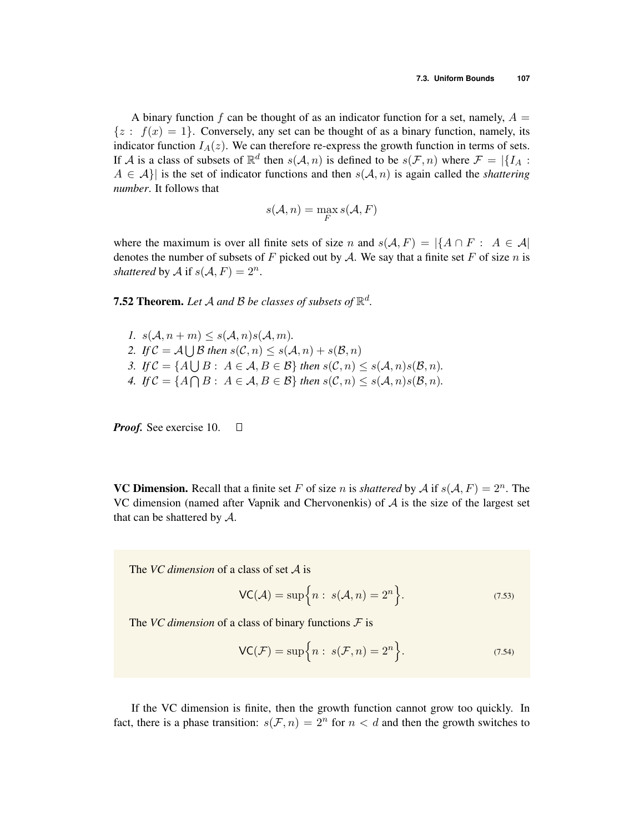A binary function  $f$  can be thought of as an indicator function for a set, namely,  $A =$  $\{z : f(x) = 1\}$ . Conversely, any set can be thought of as a binary function, namely, its indicator function  $I_A(z)$ . We can therefore re-express the growth function in terms of sets. If *A* is a class of subsets of  $\mathbb{R}^d$  then  $s(A, n)$  is defined to be  $s(\mathcal{F}, n)$  where  $\mathcal{F} = |\{I_A :$  $A \in \mathcal{A}$ } is the set of indicator functions and then  $s(\mathcal{A}, n)$  is again called the *shattering number*. It follows that

$$
s(\mathcal{A},n)=\max_{F} s(\mathcal{A},F)
$$

where the maximum is over all finite sets of size *n* and  $s(A, F) = |\{A \cap F : A \in \mathcal{A}|$ denotes the number of subsets of F picked out by A. We say that a finite set F of size n is *shattered* by *A* if  $s(A, F) = 2^n$ .

**7.52 Theorem.** Let A and B be classes of subsets of  $\mathbb{R}^d$ .

 $1. s(\mathcal{A}, n+m) \leq s(\mathcal{A}, n)s(\mathcal{A}, m).$ 2. *If*  $C = A \cup B$  *then*  $s(C, n) \leq s(A, n) + s(B, n)$ *3. If*  $C = \{A \mid B : A \in \mathcal{A}, B \in \mathcal{B}\}$  *then*  $s(C, n) \leq s(\mathcal{A}, n)s(\mathcal{B}, n)$ . 4. *If*  $C = \{A \cap B : A \in \mathcal{A}, B \in \mathcal{B}\}$  *then*  $s(C, n) \leq s(\mathcal{A}, n)s(\mathcal{B}, n)$ .

*Proof.* See exercise 10.  $\Box$ 

**VC Dimension.** Recall that a finite set F of size *n* is *shattered* by A if  $s(A, F) = 2^n$ . The VC dimension (named after Vapnik and Chervonenkis) of *A* is the size of the largest set that can be shattered by *A*.

The *VC dimension* of a class of set *A* is

$$
\mathsf{VC}(\mathcal{A}) = \sup\Big\{n : s(\mathcal{A}, n) = 2^n\Big\}.
$$
 (7.53)

The *VC dimension* of a class of binary functions *F* is

$$
\mathsf{VC}(\mathcal{F}) = \sup\Big\{n : s(\mathcal{F}, n) = 2^n\Big\}.
$$
 (7.54)

If the VC dimension is finite, then the growth function cannot grow too quickly. In fact, there is a phase transition:  $s(F, n) = 2^n$  for  $n < d$  and then the growth switches to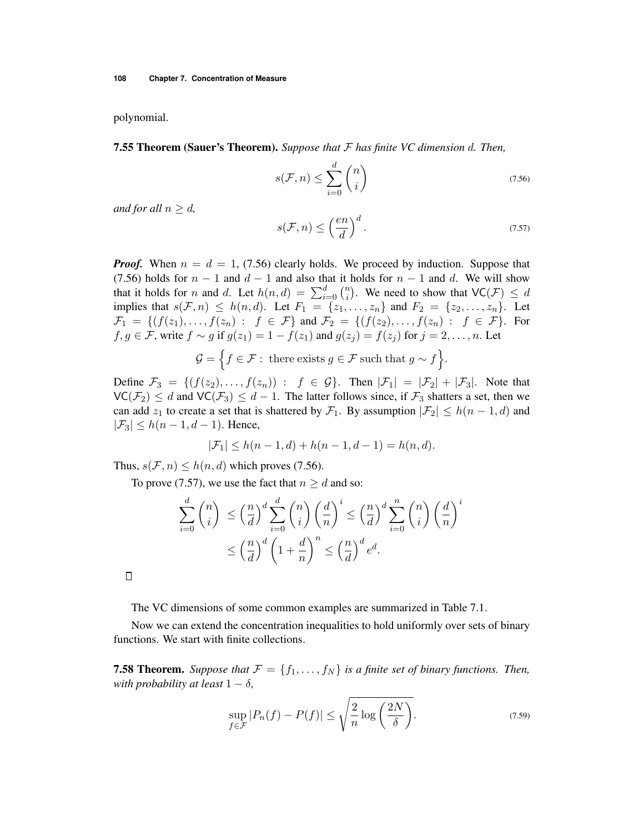polynomial.

7.55 Theorem (Sauer's Theorem). *Suppose that F has finite VC dimension d. Then,*

$$
s(\mathcal{F}, n) \le \sum_{i=0}^{d} \binom{n}{i} \tag{7.56}
$$

*and for all*  $n \geq d$ ,

$$
s(\mathcal{F}, n) \le \left(\frac{en}{d}\right)^d.
$$
\n(7.57)

*Proof.* When  $n = d = 1$ , (7.56) clearly holds. We proceed by induction. Suppose that (7.56) holds for  $n-1$  and  $d-1$  and also that it holds for  $n-1$  and d. We will show that it holds for *n* and *d*. Let  $h(n,d) = \sum_{i=0}^{d} {n \choose i}$ . We need to show that  $VC(\mathcal{F}) \leq d$ implies that  $s(F, n) \leq h(n, d)$ . Let  $F_1 = \{z_1, \ldots, z_n\}$  and  $F_2 = \{z_2, \ldots, z_n\}$ . Let  $\mathcal{F}_1 = \{ (f(z_1), \ldots, f(z_n) : f \in \mathcal{F} \}$  and  $\mathcal{F}_2 = \{ (f(z_2), \ldots, f(z_n) : f \in \mathcal{F} \}$ . For *f*,  $g \in \mathcal{F}$ , write  $f \sim g$  if  $g(z_1) = 1 - f(z_1)$  and  $g(z_i) = f(z_i)$  for  $j = 2, \ldots, n$ . Let

$$
\mathcal{G} = \Big\{ f \in \mathcal{F} : \text{ there exists } g \in \mathcal{F} \text{ such that } g \sim f \Big\}.
$$

Define  $\mathcal{F}_3 = \{ (f(z_2), \ldots, f(z_n)) : f \in \mathcal{G} \}$ . Then  $|\mathcal{F}_1| = |\mathcal{F}_2| + |\mathcal{F}_3|$ . Note that  $\mathsf{VC}(\mathcal{F}_2) \leq d$  and  $\mathsf{VC}(\mathcal{F}_3) \leq d - 1$ . The latter follows since, if  $\mathcal{F}_3$  shatters a set, then we can add  $z_1$  to create a set that is shattered by  $\mathcal{F}_1$ . By assumption  $|\mathcal{F}_2| \leq h(n-1,d)$  and  $|\mathcal{F}_3| \leq h(n-1, d-1)$ . Hence,

$$
|\mathcal{F}_1| \le h(n-1, d) + h(n-1, d-1) = h(n, d).
$$

Thus,  $s(\mathcal{F}, n) \leq h(n, d)$  which proves (7.56).

To prove (7.57), we use the fact that  $n \geq d$  and so:

$$
\sum_{i=0}^{d} \binom{n}{i} \le \left(\frac{n}{d}\right)^d \sum_{i=0}^{d} \binom{n}{i} \left(\frac{d}{n}\right)^i \le \left(\frac{n}{d}\right)^d \sum_{i=0}^{n} \binom{n}{i} \left(\frac{d}{n}\right)^i
$$

$$
\le \left(\frac{n}{d}\right)^d \left(1 + \frac{d}{n}\right)^n \le \left(\frac{n}{d}\right)^d e^d.
$$

 $\Box$ 

The VC dimensions of some common examples are summarized in Table 7.1.

Now we can extend the concentration inequalities to hold uniformly over sets of binary functions. We start with finite collections.

**7.58 Theorem.** *Suppose that*  $\mathcal{F} = \{f_1, \ldots, f_N\}$  *is a finite set of binary functions. Then, with probability at least*  $1 - \delta$ ,

$$
\sup_{f \in \mathcal{F}} |P_n(f) - P(f)| \le \sqrt{\frac{2}{n} \log \left(\frac{2N}{\delta}\right)}.
$$
\n(7.59)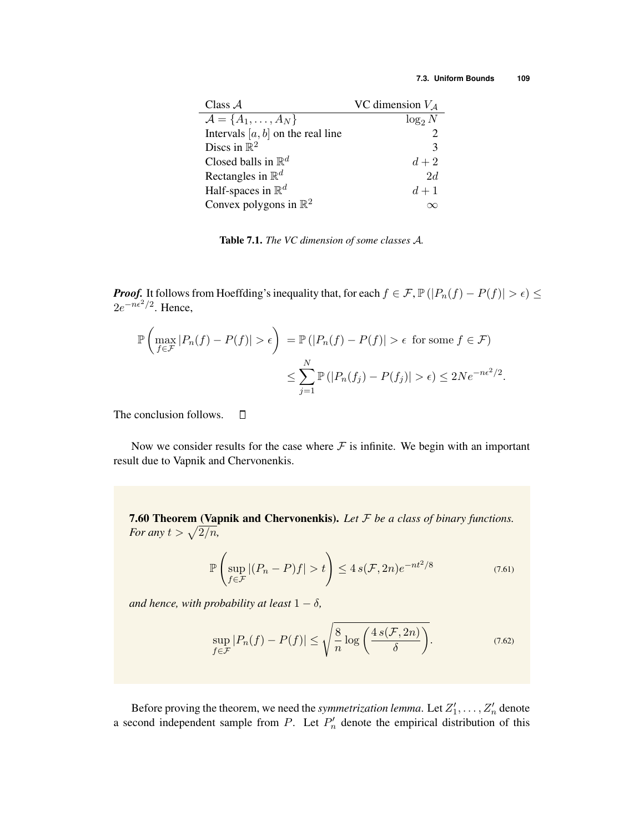| Class $A$                            | VC dimension $V_A$ |  |
|--------------------------------------|--------------------|--|
| $\mathcal{A} = \{A_1, \ldots, A_N\}$ | $\log_2 N$         |  |
| Intervals $[a, b]$ on the real line  |                    |  |
| Discs in $\mathbb{R}^2$              | 3                  |  |
| Closed balls in $\mathbb{R}^d$       | $d+2$              |  |
| Rectangles in $\mathbb{R}^d$         | 2d                 |  |
| Half-spaces in $\mathbb{R}^d$        | $d+1$              |  |
| Convex polygons in $\mathbb{R}^2$    |                    |  |

Table 7.1. *The VC dimension of some classes A.*

*Proof.* It follows from Hoeffding's inequality that, for each  $f \in \mathcal{F}$ ,  $\mathbb{P}(|P_n(f) - P(f)| > \epsilon) \le$  $2e^{-n\epsilon^2/2}$ . Hence,

$$
\mathbb{P}\left(\max_{f \in \mathcal{F}} |P_n(f) - P(f)| > \epsilon\right) = \mathbb{P}\left(|P_n(f) - P(f)| > \epsilon \text{ for some } f \in \mathcal{F}\right)
$$

$$
\leq \sum_{j=1}^N \mathbb{P}\left(|P_n(f_j) - P(f_j)| > \epsilon\right) \leq 2Ne^{-n\epsilon^2/2}.
$$

The conclusion follows.  $\Box$ 

Now we consider results for the case where  $F$  is infinite. We begin with an important result due to Vapnik and Chervonenkis.

7.60 Theorem (Vapnik and Chervonenkis). *Let F be a class of binary functions. For any*  $t > \sqrt{2/n}$ *,* 

$$
\mathbb{P}\left(\sup_{f\in\mathcal{F}}|(P_n-P)f|>t\right)\leq 4\,s(\mathcal{F},2n)e^{-nt^2/8}\tag{7.61}
$$

*and hence, with probability at least*  $1 - \delta$ ,

$$
\sup_{f \in \mathcal{F}} |P_n(f) - P(f)| \le \sqrt{\frac{8}{n} \log \left( \frac{4 \, s(\mathcal{F}, 2n)}{\delta} \right)}.
$$
\n(7.62)

Before proving the theorem, we need the *symmetrization lemma*. Let  $Z'_1, \ldots, Z'_n$  denote a second independent sample from *P*. Let  $P'_n$  denote the empirical distribution of this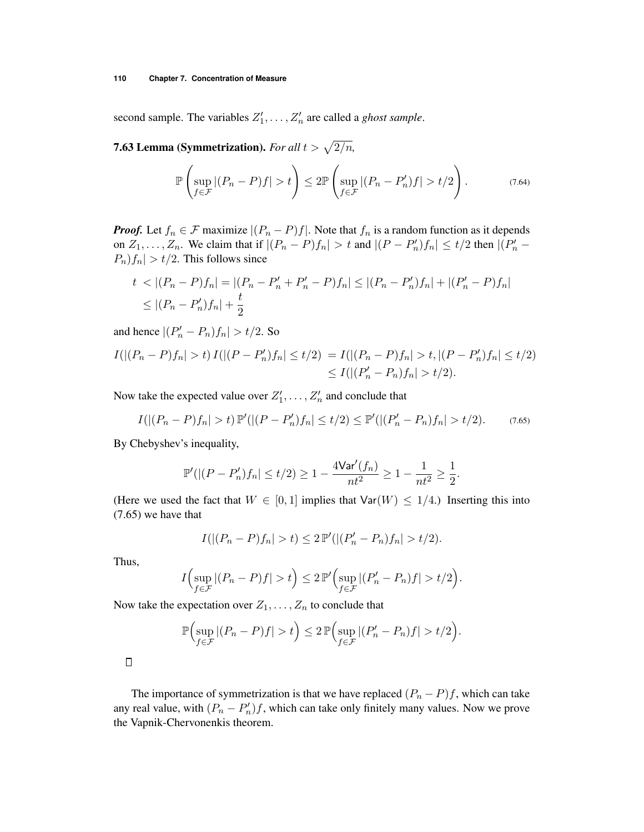#### **110 Chapter 7. Concentration of Measure**

second sample. The variables  $Z'_1, \ldots, Z'_n$  are called a *ghost sample*.

**7.63 Lemma (Symmetrization).** For all  $t > \sqrt{2/n}$ ,

$$
\mathbb{P}\left(\sup_{f\in\mathcal{F}}|(P_n-P)f|>t\right)\leq 2\mathbb{P}\left(\sup_{f\in\mathcal{F}}|(P_n-P_n')f|>t/2\right).
$$
 (7.64)

*Proof.* Let  $f_n \in \mathcal{F}$  maximize  $|(P_n - P)f|$ . Note that  $f_n$  is a random function as it depends on  $Z_1, \ldots, Z_n$ . We claim that if  $|(P_n - P)f_n| > t$  and  $|(P - P'_n)f_n| \le t/2$  then  $|(P'_n - P'_n)f_n| \le t/2$  $P_n$ *f*<sub>n</sub> $| > t/2$ . This follows since

$$
t < |(P_n - P)f_n| = |(P_n - P'_n + P'_n - P)f_n| \le |(P_n - P'_n)f_n| + |(P'_n - P)f_n|
$$
  

$$
\le |(P_n - P'_n)f_n| + \frac{t}{2}
$$

 $| (P'_n - P_n) f_n | > t/2$ . So

$$
I(|(P_n - P)f_n| > t) I(|(P - P'_n)f_n| \le t/2) = I(|(P_n - P)f_n| > t, |(P - P'_n)f_n| \le t/2)
$$
  
\$\le I(|(P'\_n - P\_n)f\_n| > t/2).

Now take the expected value over  $Z'_1, \ldots, Z'_n$  and conclude that

$$
I(|(P_n - P)f_n| > t) \mathbb{P}'(|(P - P'_n)f_n| \le t/2) \le \mathbb{P}'(|(P'_n - P_n)f_n| > t/2).
$$
 (7.65)

By Chebyshev's inequality,

$$
\mathbb{P}'(|(P - P'_n)f_n| \le t/2) \ge 1 - \frac{4\text{Var}'(f_n)}{nt^2} \ge 1 - \frac{1}{nt^2} \ge \frac{1}{2}.
$$

(Here we used the fact that  $W \in [0, 1]$  implies that  $Var(W) \le 1/4$ .) Inserting this into (7.65) we have that

$$
I(|(P_n - P)f_n| > t) \le 2\mathbb{P}'(|(P'_n - P_n)f_n| > t/2).
$$

Thus,

$$
I\Bigl(\sup_{f\in\mathcal{F}}|(P_n-P)f|>t\Bigr)\leq 2\,\mathbb{P}'\Bigl(\sup_{f\in\mathcal{F}}|(P'_n-P_n)f|>t/2\Bigr).
$$

Now take the expectation over  $Z_1, \ldots, Z_n$  to conclude that

$$
\mathbb{P}\Bigl(\sup_{f\in\mathcal{F}}|(P_n-P)f|>t\Bigr)\leq 2\,\mathbb{P}\Bigl(\sup_{f\in\mathcal{F}}|(P'_n-P_n)f|>t/2\Bigr).
$$

The importance of symmetrization is that we have replaced  $(P_n - P)f$ , which can take any real value, with  $(P_n - P'_n)f$ , which can take only finitely many values. Now we prove the Vapnik-Chervonenkis theorem.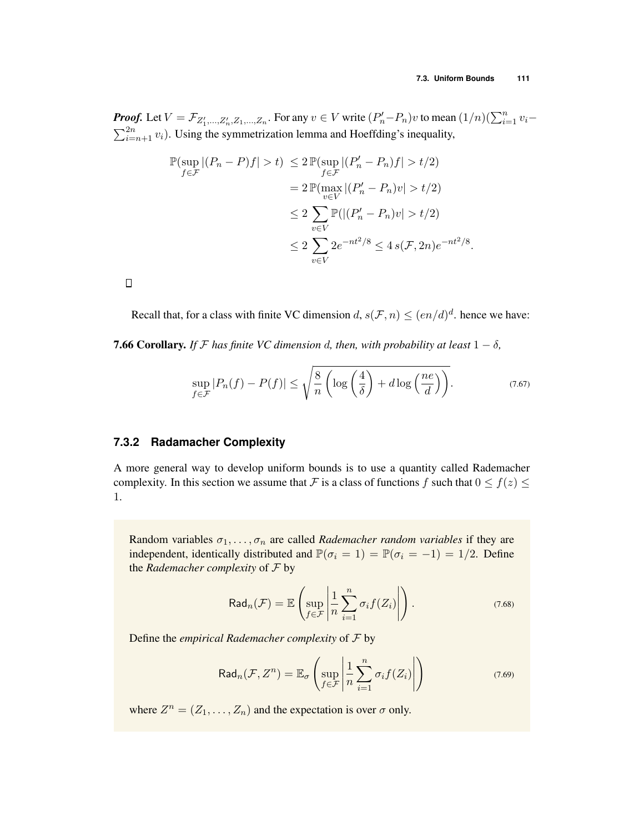**Proof.** Let  $V = \mathcal{F}_{Z'_1,...,Z'_n,Z_1,...,Z_n}$ . For any  $v \in V$  write  $(P'_n-P_n)v$  to mean  $(1/n)(\sum_{i=1}^n v_i - \sum_{i=n+1}^n v_i)$ . Using the symmetrization lemma and Hoeffding's inequality.  $\sum_{i=n+1}^{2n} v_i$ ). Using the symmetrization lemma and Hoeffding's inequality,

$$
\mathbb{P}(\sup_{f \in \mathcal{F}} |(P_n - P)f| > t) \le 2 \mathbb{P}(\sup_{f \in \mathcal{F}} |(P'_n - P_n)f| > t/2)
$$
  
=  $2 \mathbb{P}(\max_{v \in V} |(P'_n - P_n)v| > t/2)$   
 $\le 2 \sum_{v \in V} \mathbb{P}(|(P'_n - P_n)v| > t/2)$   
 $\le 2 \sum_{v \in V} 2e^{-nt^2/8} \le 4 s(\mathcal{F}, 2n)e^{-nt^2/8}.$ 

 $\Box$ 

Recall that, for a class with finite VC dimension *d*,  $s(\mathcal{F}, n) \leq (en/d)^d$ . hence we have:

**7.66 Corollary.** *If*  $F$  *has finite VC dimension d, then, with probability at least*  $1 - \delta$ *,* 

$$
\sup_{f \in \mathcal{F}} |P_n(f) - P(f)| \le \sqrt{\frac{8}{n} \left( \log \left( \frac{4}{\delta} \right) + d \log \left( \frac{ne}{d} \right) \right)}.
$$
\n(7.67)

## **7.3.2 Radamacher Complexity**

A more general way to develop uniform bounds is to use a quantity called Rademacher complexity. In this section we assume that *F* is a class of functions *f* such that  $0 \le f(z) \le$ 1.

Random variables  $\sigma_1, \ldots, \sigma_n$  are called *Rademacher random variables* if they are independent, identically distributed and  $\mathbb{P}(\sigma_i = 1) = \mathbb{P}(\sigma_i = -1) = 1/2$ . Define the *Rademacher complexity* of *F* by

$$
\text{Rad}_n(\mathcal{F}) = \mathbb{E}\left(\sup_{f \in \mathcal{F}} \left| \frac{1}{n} \sum_{i=1}^n \sigma_i f(Z_i) \right| \right). \tag{7.68}
$$

Define the *empirical Rademacher complexity* of *F* by

$$
\text{Rad}_{n}(\mathcal{F}, Z^{n}) = \mathbb{E}_{\sigma}\left(\sup_{f \in \mathcal{F}}\left|\frac{1}{n}\sum_{i=1}^{n} \sigma_{i} f(Z_{i})\right|\right) \tag{7.69}
$$

where  $Z^n = (Z_1, \ldots, Z_n)$  and the expectation is over  $\sigma$  only.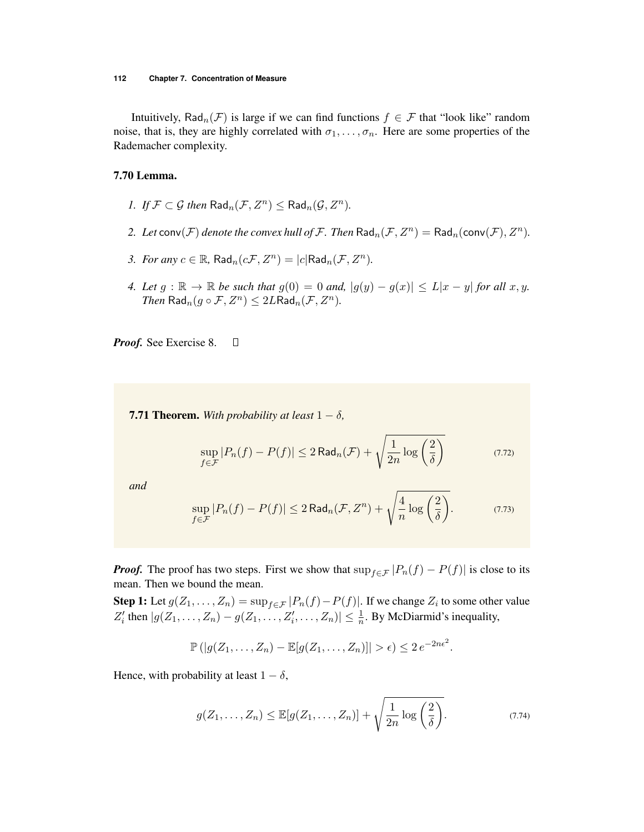Intuitively, Rad<sub>n</sub>(*F*) is large if we can find functions  $f \in \mathcal{F}$  that "look like" random noise, that is, they are highly correlated with  $\sigma_1, \ldots, \sigma_n$ . Here are some properties of the Rademacher complexity.

#### 7.70 Lemma.

- *1. If*  $\mathcal{F} \subset \mathcal{G}$  *then*  $\text{Rad}_n(\mathcal{F}, Z^n) \leq \text{Rad}_n(\mathcal{G}, Z^n)$ .
- 2. Let  $conv(\mathcal{F})$  *denote the convex hull of*  $\mathcal{F}$ *. Then*  $Rad_n(\mathcal{F}, Z^n) = Rad_n(conv(\mathcal{F}), Z^n)$ *.*
- *3. For any*  $c \in \mathbb{R}$ , Rad<sub>*n*</sub>( $c\mathcal{F}, Z^n$ ) =  $|c|$ Rad<sub>*n*</sub>( $\mathcal{F}, Z^n$ ).
- 4. Let  $g: \mathbb{R} \to \mathbb{R}$  be such that  $g(0) = 0$  and,  $|g(y) g(x)| \le L|x y|$  for all  $x, y$ . *Then*  $\text{Rad}_{n}(q \circ \mathcal{F}, Z^{n}) \leq 2L\text{Rad}_{n}(\mathcal{F}, Z^{n})$ *.*

*Proof.* See Exercise 8.  $\Box$ 

**7.71 Theorem.** With probability at least  $1 - \delta$ ,

$$
\sup_{f \in \mathcal{F}} |P_n(f) - P(f)| \le 2 \operatorname{Rad}_n(\mathcal{F}) + \sqrt{\frac{1}{2n} \log \left(\frac{2}{\delta}\right)}
$$
(7.72)

*and*

$$
\sup_{f \in \mathcal{F}} |P_n(f) - P(f)| \le 2 \operatorname{Rad}_n(\mathcal{F}, Z^n) + \sqrt{\frac{4}{n} \log \left(\frac{2}{\delta}\right)}. \tag{7.73}
$$

*Proof.* The proof has two steps. First we show that  $\sup_{f \in \mathcal{F}} |P_n(f) - P(f)|$  is close to its mean. Then we bound the mean.

**Step 1:** Let  $g(Z_1, \ldots, Z_n) = \sup_{f \in \mathcal{F}} |P_n(f) - P(f)|$ . If we change  $Z_i$  to some other value  $Z_i'$  then  $|g(Z_1, \ldots, Z_n) - g(Z_1, \ldots, Z_i', \ldots, Z_n)| \leq \frac{1}{n}$ . By McDiarmid's inequality,

$$
\mathbb{P}\left(|g(Z_1,\ldots,Z_n)-\mathbb{E}[g(Z_1,\ldots,Z_n)]|>\epsilon\right)\leq 2e^{-2n\epsilon^2}.
$$

Hence, with probability at least  $1 - \delta$ ,

$$
g(Z_1,\ldots,Z_n) \leq \mathbb{E}[g(Z_1,\ldots,Z_n)] + \sqrt{\frac{1}{2n}\log\left(\frac{2}{\delta}\right)}.
$$
\n(7.74)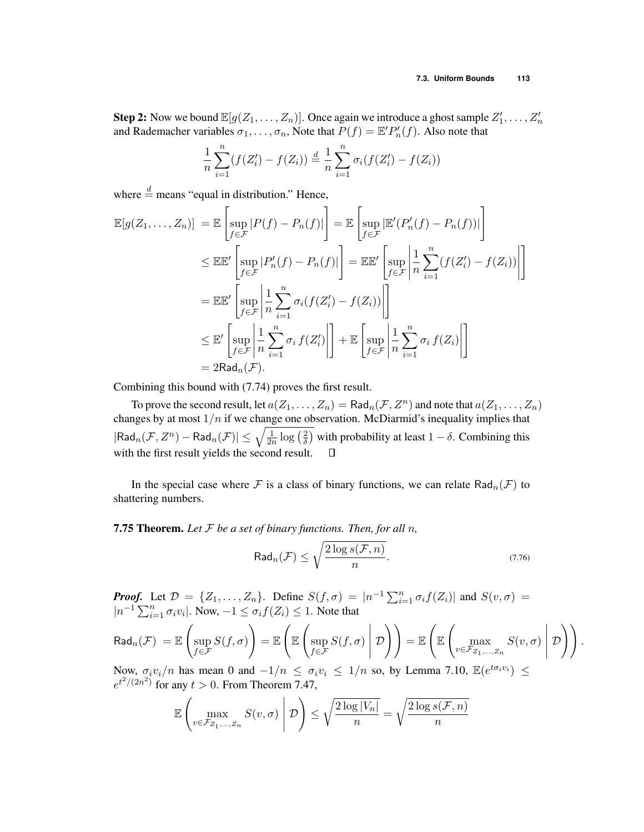**Step 2:** Now we bound  $\mathbb{E}[g(Z_1, \ldots, Z_n)]$ . Once again we introduce a ghost sample  $Z'_1, \ldots, Z'_n$ and Rademacher variables  $\sigma_1, \ldots, \sigma_n$ , Note that  $P(f) = \mathbb{E}' P'_n(f)$ . Also note that

$$
\frac{1}{n}\sum_{i=1}^{n}(f(Z_i') - f(Z_i)) \stackrel{d}{=} \frac{1}{n}\sum_{i=1}^{n}\sigma_i(f(Z_i') - f(Z_i))
$$

 $\overline{r}$ 

where  $\stackrel{d}{=}$  means "equal in distribution." Hence,

$$
\mathbb{E}[g(Z_1, \dots, Z_n)] = \mathbb{E}\left[\sup_{f \in \mathcal{F}} |P(f) - P_n(f)|\right] = \mathbb{E}\left[\sup_{f \in \mathcal{F}} |\mathbb{E}'(P'_n(f) - P_n(f))|\right]
$$
\n
$$
\leq \mathbb{E}\mathbb{E}'\left[\sup_{f \in \mathcal{F}} |P'_n(f) - P_n(f)|\right] = \mathbb{E}\mathbb{E}'\left[\sup_{f \in \mathcal{F}} \left|\frac{1}{n} \sum_{i=1}^n (f(Z'_i) - f(Z_i))\right|\right]
$$
\n
$$
= \mathbb{E}\mathbb{E}'\left[\sup_{f \in \mathcal{F}} \left|\frac{1}{n} \sum_{i=1}^n \sigma_i(f(Z'_i) - f(Z_i))\right|\right]
$$
\n
$$
\leq \mathbb{E}'\left[\sup_{f \in \mathcal{F}} \left|\frac{1}{n} \sum_{i=1}^n \sigma_i f(Z'_i)\right|\right] + \mathbb{E}\left[\sup_{f \in \mathcal{F}} \left|\frac{1}{n} \sum_{i=1}^n \sigma_i f(Z_i)\right|\right]
$$
\n
$$
= 2\text{Rad}_n(\mathcal{F}).
$$

Combining this bound with (7.74) proves the first result.

To prove the second result, let  $a(Z_1, \ldots, Z_n) = \text{Rad}_n(\mathcal{F}, Z^n)$  and note that  $a(Z_1, \ldots, Z_n)$ changes by at most  $1/n$  if we change one observation. McDiarmid's inequality implies that  $|\text{Rad}_n(\mathcal{F}, Z^n) - \text{Rad}_n(\mathcal{F})| \leq \sqrt{\frac{1}{2n} \log\left(\frac{2}{\delta}\right)}$  with probability at least  $1-\delta$ . Combining this with the first result yields the second result.  $\Box$ 

In the special case where  $F$  is a class of binary functions, we can relate Rad<sub>n</sub>( $F$ ) to shattering numbers.

7.75 Theorem. *Let F be a set of binary functions. Then, for all n,*

$$
\mathsf{Rad}_{n}(\mathcal{F}) \le \sqrt{\frac{2\log s(\mathcal{F}, n)}{n}}.\tag{7.76}
$$

*Proof.* Let  $\mathcal{D} = \{Z_1, \ldots, Z_n\}$ . Define  $S(f, \sigma) = |n^{-1} \sum_{i=1}^n \sigma_i f(Z_i)|$  and  $S(v, \sigma) =$  $|n^{-1}\sum_{i=1}^n \sigma_i v_i|$ . Now,  $-1 \leq \sigma_i f(Z_i) \leq 1$ . Note that

$$
\text{Rad}_n(\mathcal{F}) = \mathbb{E}\left(\sup_{f \in \mathcal{F}} S(f, \sigma)\right) = \mathbb{E}\left(\mathbb{E}\left(\sup_{f \in \mathcal{F}} S(f, \sigma) \middle| \mathcal{D}\right)\right) = \mathbb{E}\left(\mathbb{E}\left(\max_{v \in \mathcal{F}_{Z_1,\dots,Z_n}} S(v, \sigma) \middle| \mathcal{D}\right)\right).
$$

Now,  $\sigma_i v_i/n$  has mean 0 and  $-1/n \leq \sigma_i v_i \leq 1/n$  so, by Lemma 7.10,  $\mathbb{E}(e^{t\sigma_i v_i}) \leq$  $e^{t^2/(2n^2)}$  for any  $t > 0$ . From Theorem 7.47,

$$
\mathbb{E}\left(\max_{v \in \mathcal{F}_{Z_1,\dots,Z_n}} S(v,\sigma) \middle| \mathcal{D}\right) \le \sqrt{\frac{2\log|V_n|}{n}} = \sqrt{\frac{2\log s(\mathcal{F},n)}{n}}
$$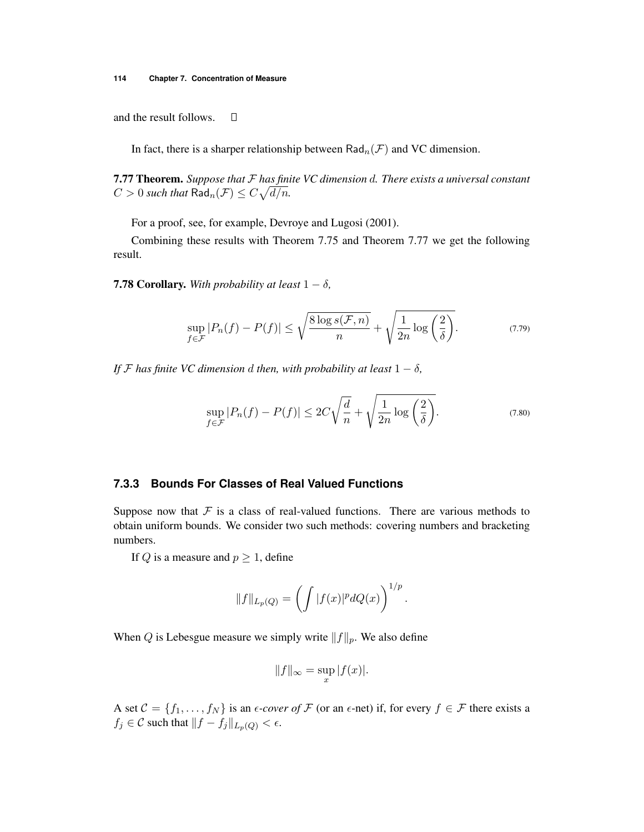and the result follows.  $\Box$ 

In fact, there is a sharper relationship between  $\text{Rad}_{n}(\mathcal{F})$  and VC dimension.

7.77 Theorem. *Suppose that F has finite VC dimension d. There exists a universal constant*  $C > 0$  *such that*  $\text{Rad}_{n}(\mathcal{F}) \leq C\sqrt{d/n}$ .

For a proof, see, for example, Devroye and Lugosi (2001).

Combining these results with Theorem 7.75 and Theorem 7.77 we get the following result.

**7.78 Corollary.** With probability at least  $1 - \delta$ ,

$$
\sup_{f \in \mathcal{F}} |P_n(f) - P(f)| \le \sqrt{\frac{8 \log s(\mathcal{F}, n)}{n}} + \sqrt{\frac{1}{2n} \log \left(\frac{2}{\delta}\right)}.
$$
\n(7.79)

*If*  $\mathcal F$  *has finite VC dimension d then, with probability at least*  $1 - \delta$ ,

$$
\sup_{f \in \mathcal{F}} |P_n(f) - P(f)| \le 2C\sqrt{\frac{d}{n}} + \sqrt{\frac{1}{2n} \log\left(\frac{2}{\delta}\right)}.
$$
\n(7.80)

#### **7.3.3 Bounds For Classes of Real Valued Functions**

Suppose now that  $F$  is a class of real-valued functions. There are various methods to obtain uniform bounds. We consider two such methods: covering numbers and bracketing numbers.

If *Q* is a measure and  $p \geq 1$ , define

$$
||f||_{L_p(Q)} = \left(\int |f(x)|^p dQ(x)\right)^{1/p}.
$$

When *Q* is Lebesgue measure we simply write  $||f||_p$ . We also define

$$
||f||_{\infty} = \sup_{x} |f(x)|.
$$

A set  $C = \{f_1, \ldots, f_N\}$  is an  $\epsilon$ -cover of  $\mathcal F$  (or an  $\epsilon$ -net) if, for every  $f \in \mathcal F$  there exists a  $f_j \in \mathcal{C}$  such that  $||f - f_j||_{L_p(Q)} < \epsilon$ .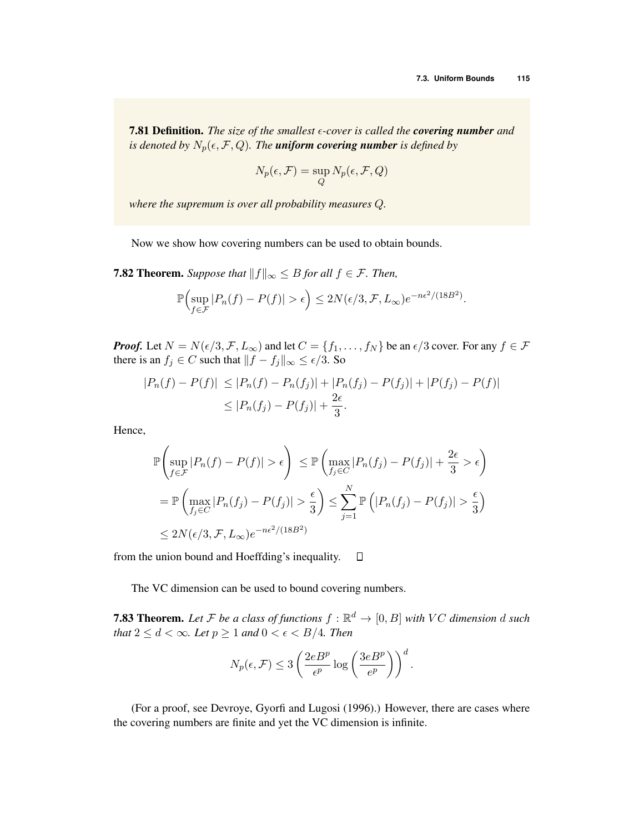**7.81 Definition.** The size of the smallest  $\epsilon$ -cover is called the **covering number** and *is denoted by*  $N_p(\epsilon, \mathcal{F}, Q)$ *. The uniform covering number is defined by* 

$$
N_p(\epsilon, \mathcal{F}) = \sup_{Q} N_p(\epsilon, \mathcal{F}, Q)
$$

*where the supremum is over all probability measures Q.*

Now we show how covering numbers can be used to obtain bounds.

**7.82 Theorem.** Suppose that  $||f||_{\infty} \leq B$  for all  $f \in \mathcal{F}$ . Then,

$$
\mathbb{P}\Bigl(\sup_{f\in\mathcal{F}}|P_n(f)-P(f)|>\epsilon\Bigr)\leq 2N(\epsilon/3,\mathcal{F},L_\infty)e^{-n\epsilon^2/(18B^2)}.
$$

*Proof.* Let  $N = N(\epsilon/3, \mathcal{F}, L_{\infty})$  and let  $C = \{f_1, \ldots, f_N\}$  be an  $\epsilon/3$  cover. For any  $f \in \mathcal{F}$ there is an  $f_j \in C$  such that  $||f - f_j||_{\infty} \le \epsilon/3$ . So

$$
|P_n(f) - P(f)| \le |P_n(f) - P_n(f_j)| + |P_n(f_j) - P(f_j)| + |P(f_j) - P(f)|
$$
  
\n
$$
\le |P_n(f_j) - P(f_j)| + \frac{2\epsilon}{3}.
$$

Hence,

$$
\mathbb{P}\left(\sup_{f \in \mathcal{F}} |P_n(f) - P(f)| > \epsilon\right) \leq \mathbb{P}\left(\max_{f_j \in C} |P_n(f_j) - P(f_j)| + \frac{2\epsilon}{3} > \epsilon\right)
$$
  
\n
$$
= \mathbb{P}\left(\max_{f_j \in C} |P_n(f_j) - P(f_j)| > \frac{\epsilon}{3}\right) \leq \sum_{j=1}^N \mathbb{P}\left(|P_n(f_j) - P(f_j)| > \frac{\epsilon}{3}\right)
$$
  
\n
$$
\leq 2N(\epsilon/3, \mathcal{F}, L_\infty)e^{-n\epsilon^2/(18B^2)}
$$

from the union bound and Hoeffding's inequality.  $\Box$ 

The VC dimension can be used to bound covering numbers.

**7.83 Theorem.** Let F be a class of functions  $f : \mathbb{R}^d \to [0, B]$  with VC dimension  $d$  such *that*  $2 \leq d < \infty$ *. Let*  $p \geq 1$  *and*  $0 < \epsilon < B/4$ *. Then* 

$$
N_p(\epsilon, \mathcal{F}) \le 3 \left( \frac{2eB^p}{\epsilon^p} \log \left( \frac{3eB^p}{\epsilon^p} \right) \right)^d.
$$

(For a proof, see Devroye, Gyorfi and Lugosi (1996).) However, there are cases where the covering numbers are finite and yet the VC dimension is infinite.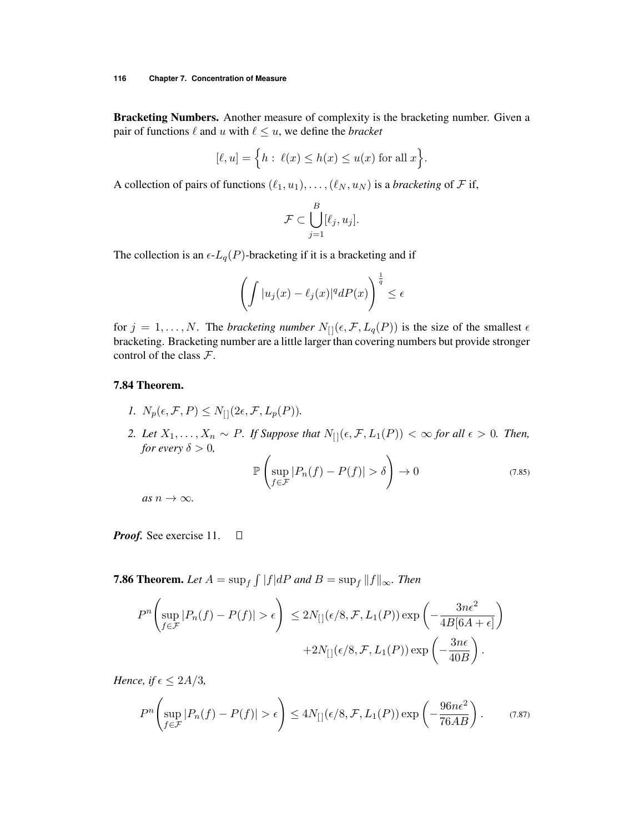Bracketing Numbers. Another measure of complexity is the bracketing number. Given a pair of functions  $\ell$  and  $u$  with  $\ell \leq u$ , we define the *bracket* 

$$
[\ell, u] = \Big\{ h : \ \ell(x) \le h(x) \le u(x) \text{ for all } x \Big\}.
$$

A collection of pairs of functions  $(\ell_1, u_1), \ldots, (\ell_N, u_N)$  is a *bracketing* of  $\mathcal F$  if,

$$
\mathcal{F} \subset \bigcup_{j=1}^B [\ell_j, u_j].
$$

The collection is an  $\epsilon$ - $L_q(P)$ -bracketing if it is a bracketing and if

$$
\left(\int |u_j(x) - \ell_j(x)|^q dP(x)\right)^{\frac{1}{q}} \leq \epsilon
$$

for  $j = 1, \ldots, N$ . The *bracketing number*  $N_{[1]}(\epsilon, \mathcal{F}, L_q(P))$  is the size of the smallest  $\epsilon$ bracketing. Bracketing number are a little larger than covering numbers but provide stronger control of the class *F*.

#### 7.84 Theorem.

- *1.*  $N_p(\epsilon, \mathcal{F}, P) \leq N_{\text{H}}(2\epsilon, \mathcal{F}, L_p(P)).$
- *2. Let*  $X_1, \ldots, X_n \sim P$ *. If Suppose that*  $N_{[]}(\epsilon, \mathcal{F}, L_1(P)) < \infty$  for all  $\epsilon > 0$ *. Then, for every*  $\delta > 0$ *,*

$$
\mathbb{P}\left(\sup_{f\in\mathcal{F}}|P_n(f)-P(f)|>\delta\right)\to 0\tag{7.85}
$$

 $as n \rightarrow \infty$ .

*Proof.* See exercise 11.  $\Box$ 

**7.86 Theorem.** Let  $A = \sup_f \int |f| dP$  and  $B = \sup_f \|f\|_{\infty}$ . Then

$$
P^{n}\left(\sup_{f\in\mathcal{F}}|P_{n}(f)-P(f)|>\epsilon\right) \leq 2N_{[}(\epsilon/8,\mathcal{F},L_{1}(P))\exp\left(-\frac{3n\epsilon^{2}}{4B[6A+\epsilon]}\right) +2N_{[}(\epsilon/8,\mathcal{F},L_{1}(P))\exp\left(-\frac{3n\epsilon}{40B}\right).
$$

*Hence, if*  $\epsilon \leq 2A/3$ *,* 

$$
P^{n}\left(\sup_{f\in\mathcal{F}}|P_{n}(f)-P(f)|>\epsilon\right)\leq 4N_{\left[\left]\right]}(\epsilon/8,\mathcal{F},L_{1}(P))\exp\left(-\frac{96n\epsilon^{2}}{76AB}\right). \tag{7.87}
$$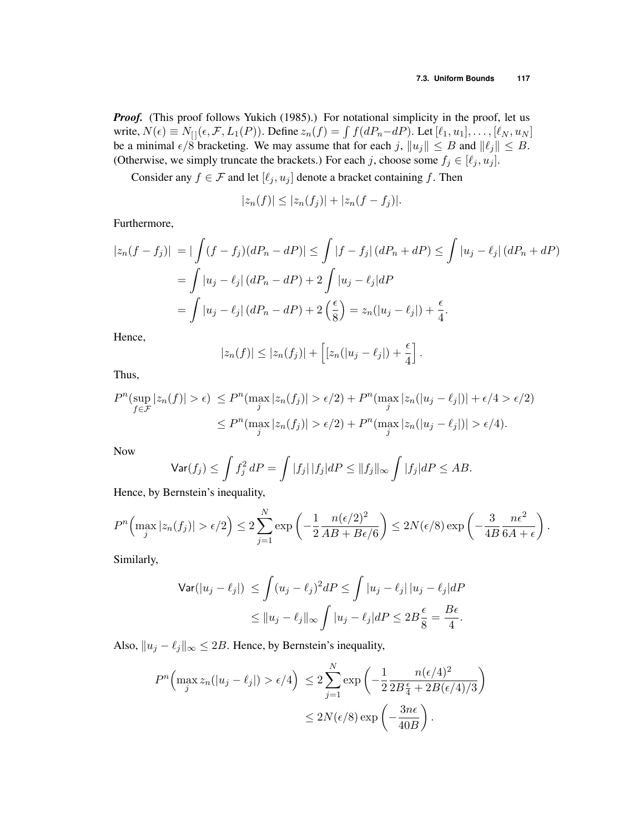*Proof.* (This proof follows Yukich (1985).) For notational simplicity in the proof, let us write,  $N(\epsilon) \equiv N_{[]}(\epsilon, \mathcal{F}, L_1(P))$ . Define  $z_n(f) = \int f(dP_n - dP)$ . Let  $[\ell_1, u_1], \ldots, [\ell_N, u_N]$ be a minimal  $\epsilon/\dot{8}$  bracketing. We may assume that for each *j*,  $||u_j|| \leq B$  and  $||\ell_j|| \leq B$ . (Otherwise, we simply truncate the brackets.) For each *j*, choose some  $f_j \in [\ell_j, u_j]$ .

Consider any  $f \in \mathcal{F}$  and let  $[\ell_j, u_j]$  denote a bracket containing  $f$ . Then

$$
|z_n(f)| \le |z_n(f_j)| + |z_n(f - f_j)|.
$$

Furthermore,

$$
|z_n(f - f_j)| = |\int (f - f_j)(dP_n - dP)| \le \int |f - f_j| (dP_n + dP) \le \int |u_j - \ell_j| (dP_n + dP)
$$
  
= 
$$
\int |u_j - \ell_j| (dP_n - dP) + 2 \int |u_j - \ell_j| dP
$$
  
= 
$$
\int |u_j - \ell_j| (dP_n - dP) + 2 \left(\frac{\epsilon}{8}\right) = z_n(|u_j - \ell_j|) + \frac{\epsilon}{4}.
$$

Hence,

$$
|z_n(f)| \leq |z_n(f_j)| + \left[ [z_n(|u_j - \ell_j|) + \frac{\epsilon}{4} \right].
$$

Thus,

$$
P^n(\sup_{f \in \mathcal{F}} |z_n(f)| > \epsilon) \le P^n(\max_j |z_n(f_j)| > \epsilon/2) + P^n(\max_j |z_n(|u_j - \ell_j|)| + \epsilon/4 > \epsilon/2)
$$
  

$$
\le P^n(\max_j |z_n(f_j)| > \epsilon/2) + P^n(\max_j |z_n(|u_j - \ell_j|)| > \epsilon/4).
$$

Now

$$
\mathsf{Var}(f_j) \le \int f_j^2 dP = \int |f_j| |f_j| dP \le ||f_j||_{\infty} \int |f_j| dP \le AB.
$$

Hence, by Bernstein's inequality,

$$
P^{n}\left(\max_{j}|z_{n}(f_{j})| > \epsilon/2\right) \leq 2\sum_{j=1}^{N} \exp\left(-\frac{1}{2}\frac{n(\epsilon/2)^{2}}{AB + B\epsilon/6}\right) \leq 2N(\epsilon/8)\exp\left(-\frac{3}{4B}\frac{n\epsilon^{2}}{6A + \epsilon}\right).
$$

Similarly,

$$
\begin{aligned} \mathsf{Var}(|u_j - \ell_j|) &\leq \int (u_j - \ell_j)^2 dP \leq \int |u_j - \ell_j| \, |u_j - \ell_j| \, dP \\ &\leq \|u_j - \ell_j\|_{\infty} \int |u_j - \ell_j| \, dP \leq 2B \frac{\epsilon}{8} = \frac{B\epsilon}{4}. \end{aligned}
$$

Also,  $||u_j - \ell_j||_{\infty} \leq 2B$ . Hence, by Bernstein's inequality,

$$
P^{n}\left(\max_{j} z_{n}(|u_{j}-\ell_{j}|) > \epsilon/4\right) \leq 2\sum_{j=1}^{N} \exp\left(-\frac{1}{2}\frac{n(\epsilon/4)^{2}}{2B\frac{\epsilon}{4} + 2B(\epsilon/4)/3}\right)
$$

$$
\leq 2N(\epsilon/8) \exp\left(-\frac{3n\epsilon}{40B}\right).
$$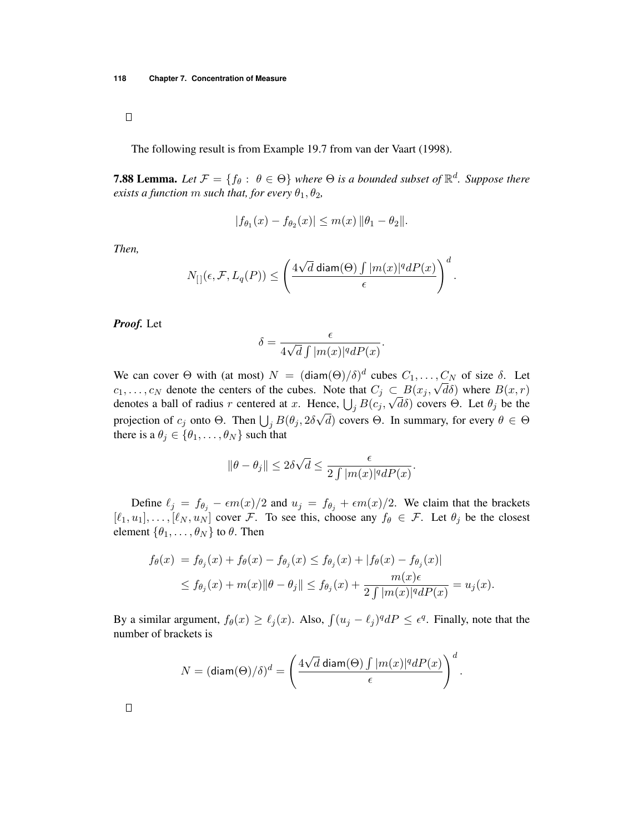$\Box$ 

The following result is from Example 19.7 from van der Vaart (1998).

**7.88 Lemma.** Let  $\mathcal{F} = \{f_\theta : \theta \in \Theta\}$  where  $\Theta$  is a bounded subset of  $\mathbb{R}^d$ . Suppose there *exists a function m such that, for every*  $\theta_1$ ,  $\theta_2$ ,

$$
|f_{\theta_1}(x) - f_{\theta_2}(x)| \le m(x) \|\theta_1 - \theta_2\|.
$$

*Then,*

$$
N_{[\,]}(\epsilon,\mathcal{F},L_q(P)) \leq \left(\frac{4\sqrt{d}\operatorname{diam}(\Theta)\int |m(x)|^q dP(x)}{\epsilon}\right)^d.
$$

*Proof.* Let

$$
\delta = \frac{\epsilon}{4\sqrt{d}\int |m(x)|^q dP(x)}.
$$

We can cover  $\Theta$  with (at most)  $N = (\text{diam}(\Theta)/\delta)^d$  cubes  $C_1, \ldots, C_N$  of size  $\delta$ . Let  $c_1, \ldots, c_N$  denote the centers of the cubes. Note that  $C_j \subset B(x_j, \sqrt{d\delta})$  where  $B(x, r)$ denotes a ball of radius *r* centered at *x*. Hence,  $\bigcup_j B(c_j, \sqrt{d\delta})$  covers  $\Theta$ . Let  $\theta_j$  be the projection of  $c_j$  onto  $\Theta$ . Then  $\bigcup_j B(\theta_j, 2\delta\sqrt{d})$  covers  $\Theta$ . In summary, for every  $\theta \in \Theta$ there is a  $\theta_j \in \{\theta_1, \ldots, \theta_N\}$  such that

$$
\|\theta-\theta_j\|\leq 2\delta\sqrt{d}\leq \frac{\epsilon}{2\int |m(x)|^q dP(x)}.
$$

Define  $\ell_j = f_{\theta_j} - \epsilon m(x)/2$  and  $u_j = f_{\theta_j} + \epsilon m(x)/2$ . We claim that the brackets  $[\ell_1, u_1], \ldots, [\ell_N, u_N]$  cover *F*. To see this, choose any  $f_\theta \in \mathcal{F}$ . Let  $\theta_j$  be the closest element  $\{\theta_1, \ldots, \theta_N\}$  to  $\theta$ . Then

$$
f_{\theta}(x) = f_{\theta_j}(x) + f_{\theta}(x) - f_{\theta_j}(x) \le f_{\theta_j}(x) + |f_{\theta}(x) - f_{\theta_j}(x)|
$$
  
 
$$
\le f_{\theta_j}(x) + m(x) ||\theta - \theta_j|| \le f_{\theta_j}(x) + \frac{m(x)\epsilon}{2\int |m(x)|^q dP(x)} = u_j(x).
$$

By a similar argument,  $f_{\theta}(x) \ge \ell_j(x)$ . Also,  $\int (u_j - \ell_j)^q dP \le \epsilon^q$ . Finally, note that the number of brackets is

$$
N = (\text{diam}(\Theta)/\delta)^d = \left(\frac{4\sqrt{d}\operatorname{diam}(\Theta)\int |m(x)|^q dP(x)}{\epsilon}\right)^d.
$$

 $\Box$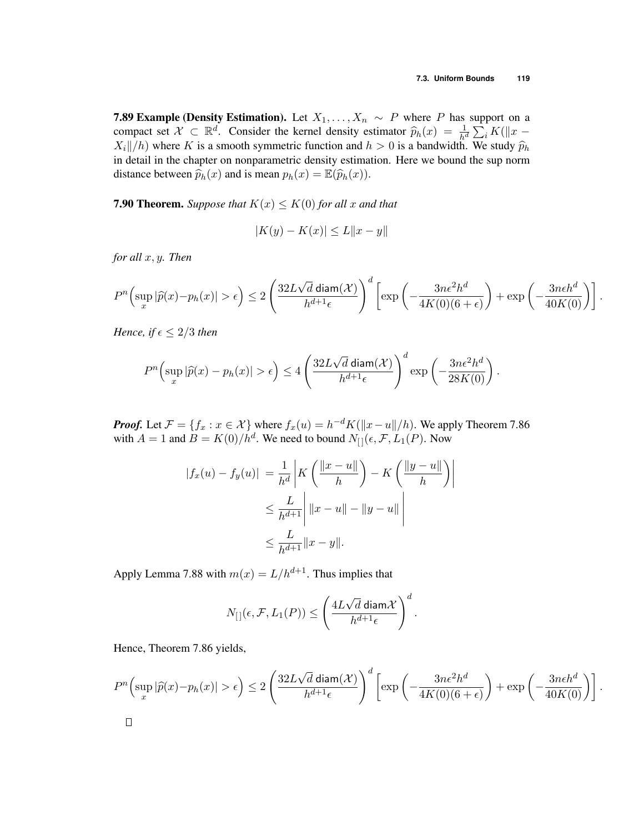*.*

**7.89 Example (Density Estimation).** Let  $X_1, \ldots, X_n \sim P$  where P has support on a compact set  $\mathcal{X} \subset \mathbb{R}^d$ . Consider the kernel density estimator  $\widehat{p}_h(x) = \frac{1}{h^d} \sum_i K(||x X_i||/h$ ) where *K* is a smooth symmetric function and  $h > 0$  is a bandwidth. We study  $\hat{p}_h$ in detail in the chapter on nonparametric density estimation. Here we bound the sup norm distance between  $\widehat{p}_h(x)$  and is mean  $p_h(x) = \mathbb{E}(\widehat{p}_h(x))$ .

**7.90 Theorem.** Suppose that  $K(x) \le K(0)$  for all x and that

$$
|K(y) - K(x)| \le L \|x - y\|
$$

*for all x, y. Then*

$$
P^{n}\left(\sup_{x}|\widehat{p}(x)-p_{h}(x)|>\epsilon\right)\leq 2\left(\frac{32L\sqrt{d}\operatorname{diam}(\mathcal{X})}{h^{d+1}\epsilon}\right)^{d}\left[\exp\left(-\frac{3n\epsilon^{2}h^{d}}{4K(0)(6+\epsilon)}\right)+\exp\left(-\frac{3n\epsilon h^{d}}{40K(0)}\right)\right].
$$

*Hence, if*  $\epsilon \leq 2/3$  *then* 

$$
P^{n}\left(\sup_{x}|\widehat{p}(x)-p_{h}(x)|>\epsilon\right) \le 4\left(\frac{32L\sqrt{d}\operatorname{diam}(\mathcal{X})}{h^{d+1}\epsilon}\right)^{d}\exp\left(-\frac{3n\epsilon^{2}h^{d}}{28K(0)}\right)
$$

*Proof.* Let  $\mathcal{F} = \{f_x : x \in \mathcal{X}\}$  where  $f_x(u) = h^{-d}K(\Vert x - u \Vert/h)$ . We apply Theorem 7.86 with  $A = 1$  and  $B = K(0)/h^d$ . We need to bound  $N_{[1]}(\epsilon, \mathcal{F}, L_1(P))$ . Now

$$
|f_x(u) - f_y(u)| = \frac{1}{h^d} \left| K\left(\frac{\|x - u\|}{h}\right) - K\left(\frac{\|y - u\|}{h}\right) \right|
$$
  

$$
\leq \frac{L}{h^{d+1}} \left| \|x - u\| - \|y - u\| \right|
$$
  

$$
\leq \frac{L}{h^{d+1}} \|x - y\|.
$$

Apply Lemma 7.88 with  $m(x) = L/h^{d+1}$ . Thus implies that

$$
N_{[\,]}(\epsilon,\mathcal{F},L_1(P)) \leq \left(\frac{4L\sqrt{d}\operatorname{diam}\mathcal{X}}{h^{d+1}\epsilon}\right)^d.
$$

Hence, Theorem 7.86 yields,

$$
P^{n}\left(\sup_{x}|\widehat{p}(x)-p_{h}(x)|>\epsilon\right) \leq 2\left(\frac{32L\sqrt{d}\operatorname{diam}(\mathcal{X})}{h^{d+1}\epsilon}\right)^{d}\left[\exp\left(-\frac{3n\epsilon^{2}h^{d}}{4K(0)(6+\epsilon)}\right)+\exp\left(-\frac{3n\epsilon h^{d}}{40K(0)}\right)\right].
$$
  

$$
\Box
$$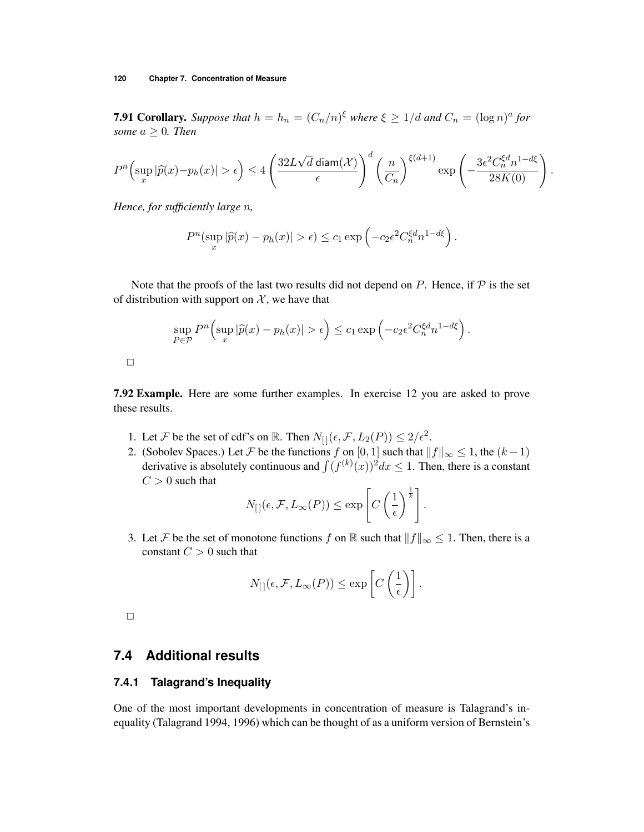#### **120 Chapter 7. Concentration of Measure**

**7.91 Corollary.** *Suppose that*  $h = h_n = (C_n/n)^{\xi}$  *where*  $\xi \geq 1/d$  *and*  $C_n = (\log n)^a$  *for some*  $a \geq 0$ *. Then* 

$$
P^{n}\left(\sup_{x}|\widehat{p}(x)-p_{h}(x)|>\epsilon\right)\leq 4\left(\frac{32L\sqrt{d}\operatorname{diam}(\mathcal{X})}{\epsilon}\right)^{d}\left(\frac{n}{C_{n}}\right)^{\xi\left(d+1\right)}\exp\left(-\frac{3\epsilon^{2}C_{n}^{\xi d}n^{1-d\xi}}{28K(0)}\right).
$$

*Hence, for sufficiently large n,*

$$
P^{n}(\sup_{x}|\widehat{p}(x)-p_{h}(x)|>\epsilon)\leq c_{1}\exp\left(-c_{2}\epsilon^{2}C_{n}^{\xi d}n^{1-d\xi}\right).
$$

Note that the proofs of the last two results did not depend on  $P$ . Hence, if  $P$  is the set of distribution with support on  $X$ , we have that

$$
\sup_{P \in \mathcal{P}} P^{n} \Big( \sup_{x} |\widehat{p}(x) - p_{h}(x)| > \epsilon \Big) \leq c_{1} \exp \Big( -c_{2} \epsilon^{2} C_{n}^{\xi d} n^{1-d\xi} \Big).
$$

 $\Box$ 

7.92 Example. Here are some further examples. In exercise 12 you are asked to prove these results.

- 1. Let *F* be the set of cdf's on R. Then  $N_{[}](\epsilon, \mathcal{F}, L_2(P)) \leq 2/\epsilon^2$ .
- 2. (Sobolev Spaces.) Let *F* be the functions *f* on  $[0, 1]$  such that  $||f||_{\infty} \le 1$ , the  $(k-1)$ derivative is absolutely continuous and  $\int (f^{(k)}(x))^2 dx \leq 1$ . Then, there is a constant  $C > 0$  such that

$$
N_{[\,]}(\epsilon,\mathcal{F},L_{\infty}(P)) \leq \exp\left[C\left(\frac{1}{\epsilon}\right)^{\frac{1}{k}}\right].
$$

3. Let *F* be the set of monotone functions *f* on R such that  $||f||_{\infty} \leq 1$ . Then, there is a constant  $C > 0$  such that

$$
N_{[\,]}(\epsilon,\mathcal{F},L_{\infty}(P)) \leq \exp\left[C\left(\frac{1}{\epsilon}\right)\right].
$$

 $\Box$ 

## **7.4 Additional results**

#### **7.4.1 Talagrand's Inequality**

One of the most important developments in concentration of measure is Talagrand's inequality (Talagrand 1994, 1996) which can be thought of as a uniform version of Bernstein's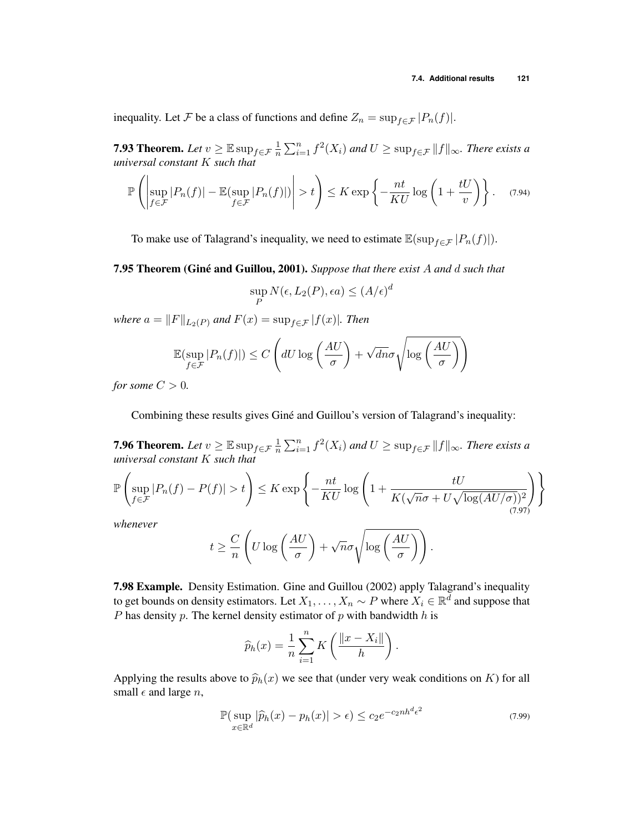inequality. Let *F* be a class of functions and define  $Z_n = \sup_{f \in \mathcal{F}} |P_n(f)|$ .

**7.93 Theorem.** Let  $v \geq \mathbb{E} \sup_{f \in \mathcal{F}} \frac{1}{n}$  $\frac{1}{n}\sum_{i=1}^{n} f^{2}(X_{i})$  and  $U \geq \sup_{f \in \mathcal{F}} ||f||_{\infty}$ . There exists a *universal constant K such that*

$$
\mathbb{P}\left(\left|\sup_{f\in\mathcal{F}}|P_n(f)|-\mathbb{E}(\sup_{f\in\mathcal{F}}|P_n(f)|)\right|>t\right)\leq K\exp\left\{-\frac{nt}{KU}\log\left(1+\frac{tU}{v}\right)\right\}.\tag{7.94}
$$

To make use of Talagrand's inequality, we need to estimate  $\mathbb{E}(\sup_{f \in \mathcal{F}} |P_n(f)|)$ .

7.95 Theorem (Giné and Guillou, 2001). Suppose that there exist A and d such that

$$
\sup_{P} N(\epsilon, L_2(P), \epsilon a) \le (A/\epsilon)^d
$$

*where*  $a = ||F||_{L_2(P)}$  *and*  $F(x) = \sup_{f \in \mathcal{F}} |f(x)|$ *. Then* 

$$
\mathbb{E}(\sup_{f \in \mathcal{F}} |P_n(f)|) \le C\left(dU\log\left(\frac{AU}{\sigma}\right) + \sqrt{dn}\sigma\sqrt{\log\left(\frac{AU}{\sigma}\right)}\right)
$$

*for some*  $C > 0$ *.* 

Combining these results gives Giné and Guillou's version of Talagrand's inequality:

**7.96 Theorem.** Let  $v \geq \mathbb{E} \sup_{f \in \mathcal{F}} \frac{1}{n}$  $\frac{1}{n}\sum_{i=1}^{n} f^{2}(X_{i})$  and  $U \ge \sup_{f \in \mathcal{F}} ||f||_{\infty}$ . There exists a *universal constant K such that*

$$
\mathbb{P}\left(\sup_{f\in\mathcal{F}}|P_n(f)-P(f)|>t\right)\leq K\exp\left\{-\frac{nt}{KU}\log\left(1+\frac{tU}{K(\sqrt{n}\sigma+U\sqrt{\log{(AU/\sigma)}})^2}\right)\right\}
$$
(7.97)

*whenever*

$$
t \geq \frac{C}{n} \left( U \log \left( \frac{AU}{\sigma} \right) + \sqrt{n} \sigma \sqrt{\log \left( \frac{AU}{\sigma} \right)} \right).
$$

7.98 Example. Density Estimation. Gine and Guillou (2002) apply Talagrand's inequality to get bounds on density estimators. Let  $X_1, \ldots, X_n \sim P$  where  $X_i \in \mathbb{R}^d$  and suppose that *P* has density *p*. The kernel density estimator of *p* with bandwidth *h* is

$$
\widehat{p}_h(x) = \frac{1}{n} \sum_{i=1}^n K\left(\frac{\|x - X_i\|}{h}\right).
$$

Applying the results above to  $\hat{p}_h(x)$  we see that (under very weak conditions on *K*) for all small  $\epsilon$  and large  $n$ ,

$$
\mathbb{P}\left(\sup_{x \in \mathbb{R}^d} |\widehat{p}_h(x) - p_h(x)| > \epsilon\right) \le c_2 e^{-c_2 nh^d \epsilon^2}
$$
\n(7.99)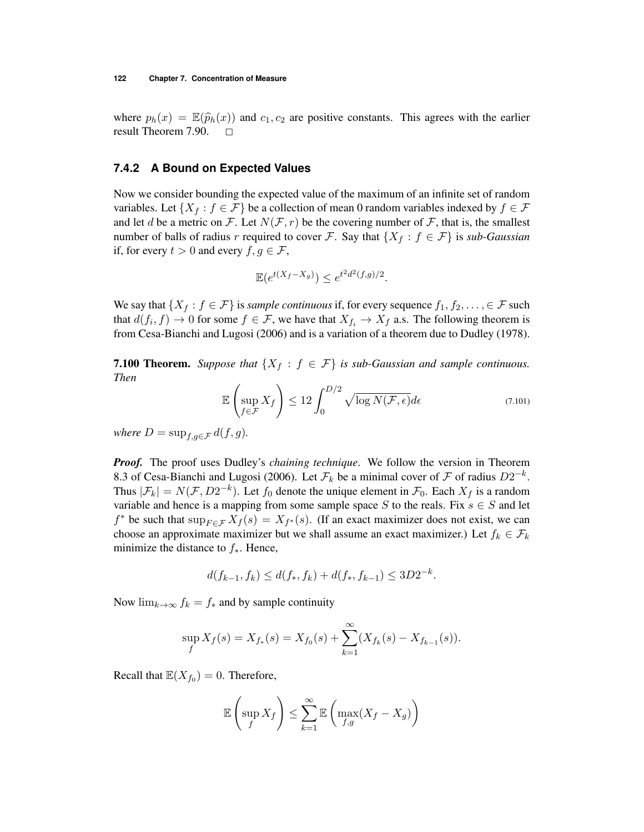where  $p_h(x) = \mathbb{E}(\widehat{p}_h(x))$  and  $c_1, c_2$  are positive constants. This agrees with the earlier result Theorem 7.90. result Theorem 7.90.

#### **7.4.2 A Bound on Expected Values**

Now we consider bounding the expected value of the maximum of an infinite set of random variables. Let  $\{X_f : f \in \mathcal{F}\}\$  be a collection of mean 0 random variables indexed by  $f \in \mathcal{F}$ and let *d* be a metric on *F*. Let  $N(F, r)$  be the covering number of *F*, that is, the smallest number of balls of radius *r* required to cover *F*. Say that  $\{X_f : f \in \mathcal{F}\}\)$  is *sub-Gaussian* if, for every  $t > 0$  and every  $f, g \in \mathcal{F}$ ,

$$
\mathbb{E}(e^{t(X_f - X_g)}) \le e^{t^2 d^2(f,g)/2}.
$$

We say that  $\{X_f : f \in \mathcal{F}\}\$ is *sample continuous* if, for every sequence  $f_1, f_2, \ldots, \in \mathcal{F}$  such that  $d(f_i, f) \to 0$  for some  $f \in \mathcal{F}$ , we have that  $X_{f_i} \to X_f$  a.s. The following theorem is from Cesa-Bianchi and Lugosi (2006) and is a variation of a theorem due to Dudley (1978).

**7.100 Theorem.** Suppose that  $\{X_f : f \in \mathcal{F}\}\$ is sub-Gaussian and sample continuous. *Then*

$$
\mathbb{E}\left(\sup_{f\in\mathcal{F}} X_f\right) \le 12 \int_0^{D/2} \sqrt{\log N(\mathcal{F}, \epsilon)} d\epsilon \tag{7.101}
$$

*where*  $D = \sup_{f, g \in \mathcal{F}} d(f, g)$ *.* 

*Proof.* The proof uses Dudley's *chaining technique*. We follow the version in Theorem 8.3 of Cesa-Bianchi and Lugosi (2006). Let  $\mathcal{F}_k$  be a minimal cover of  $\mathcal F$  of radius  $D2^{-k}$ . Thus  $|\mathcal{F}_k| = N(\mathcal{F}, D2^{-k})$ . Let  $f_0$  denote the unique element in  $\mathcal{F}_0$ . Each  $X_f$  is a random variable and hence is a mapping from some sample space  $S$  to the reals. Fix  $s \in S$  and let  $f^*$  be such that  $\sup_{F \in \mathcal{F}} X_f(s) = X_{f^*}(s)$ . (If an exact maximizer does not exist, we can choose an approximate maximizer but we shall assume an exact maximizer.) Let  $f_k \in \mathcal{F}_k$ minimize the distance to  $f_$ **.** Hence,

$$
d(f_{k-1}, f_k) \le d(f_*, f_k) + d(f_*, f_{k-1}) \le 3D2^{-k}.
$$

Now  $\lim_{k\to\infty} f_k = f_*$  and by sample continuity

$$
\sup_{f} X_{f}(s) = X_{f_{*}}(s) = X_{f_{0}}(s) + \sum_{k=1}^{\infty} (X_{f_{k}}(s) - X_{f_{k-1}}(s)).
$$

Recall that  $\mathbb{E}(X_{f_0})=0$ . Therefore,

$$
\mathbb{E}\left(\sup_{f} X_{f}\right) \leq \sum_{k=1}^{\infty} \mathbb{E}\left(\max_{f,g} (X_{f} - X_{g})\right)
$$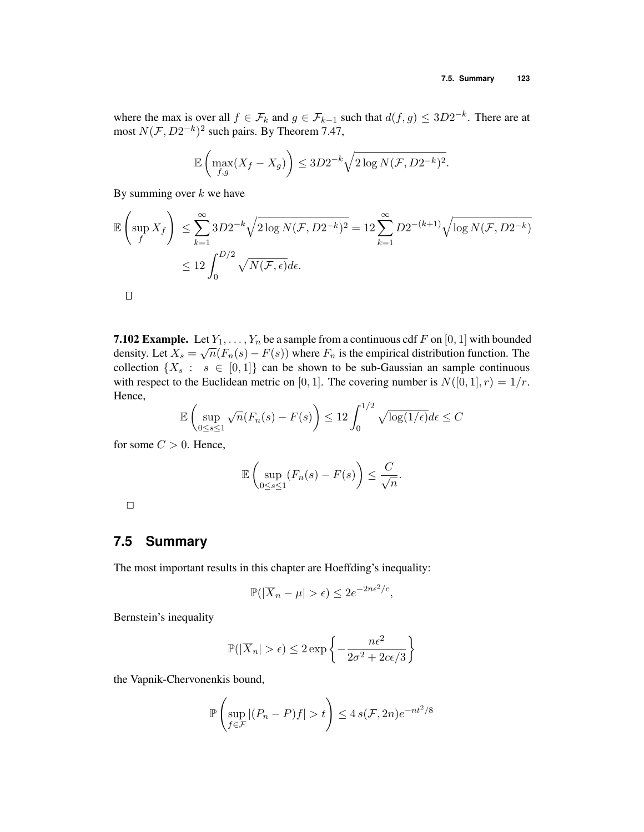where the max is over all  $f \in \mathcal{F}_k$  and  $g \in \mathcal{F}_{k-1}$  such that  $d(f,g) \leq 3D2^{-k}$ . There are at most  $N(\mathcal{F}, D2^{-k})^2$  such pairs. By Theorem 7.47,

$$
\mathbb{E}\left(\max_{f,g}(X_f - X_g)\right) \le 3D2^{-k}\sqrt{2\log N(\mathcal{F}, D2^{-k})^2}.
$$

By summing over *k* we have

$$
\mathbb{E}\left(\sup_{f} X_{f}\right) \leq \sum_{k=1}^{\infty} 3D2^{-k} \sqrt{2\log N(\mathcal{F}, D2^{-k})^{2}} = 12 \sum_{k=1}^{\infty} D2^{-(k+1)} \sqrt{\log N(\mathcal{F}, D2^{-k})}
$$
  

$$
\leq 12 \int_{0}^{D/2} \sqrt{N(\mathcal{F}, \epsilon)} d\epsilon.
$$

**7.102 Example.** Let  $Y_1, \ldots, Y_n$  be a sample from a continuous cdf F on [0, 1] with bounded density. Let  $X_s = \sqrt{n}(F_n(s) - F(s))$  where  $F_n$  is the empirical distribution function. The collection  $\{X_s : s \in [0,1]\}$  can be shown to be sub-Gaussian an sample continuous with respect to the Euclidean metric on [0, 1]. The covering number is  $N([0, 1], r) = 1/r$ . Hence,

$$
\mathbb{E}\left(\sup_{0\leq s\leq 1}\sqrt{n}(F_n(s)-F(s)\right)\leq 12\int_0^{1/2}\sqrt{\log(1/\epsilon)}d\epsilon\leq C
$$

for some  $C > 0$ . Hence,

$$
\mathbb{E}\left(\sup_{0\leq s\leq 1}(F_n(s)-F(s)\right)\leq \frac{C}{\sqrt{n}}.
$$

# **7.5 Summary**

The most important results in this chapter are Hoeffding's inequality:

$$
\mathbb{P}(|\overline{X}_n - \mu| > \epsilon) \le 2e^{-2n\epsilon^2/c},
$$

Bernstein's inequality

$$
\mathbb{P}(|\overline{X}_n| > \epsilon) \le 2 \exp\left\{-\frac{n\epsilon^2}{2\sigma^2 + 2c\epsilon/3}\right\}
$$

the Vapnik-Chervonenkis bound,

$$
\mathbb{P}\left(\sup_{f\in\mathcal{F}}|(P_n-P)f|>t\right)\leq 4\,s(\mathcal{F},2n)e^{-nt^2/8}
$$